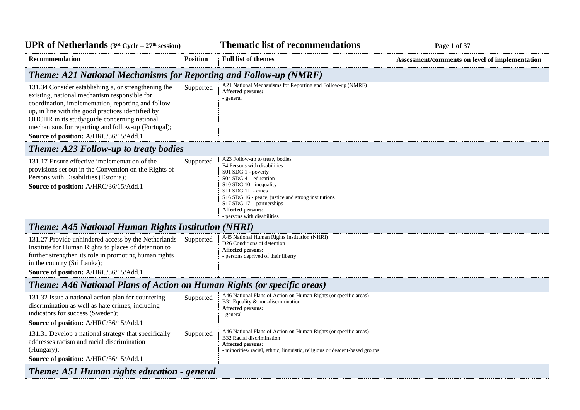| <b>UPR of Netherlands</b> $(3rd Cycle - 27th session)$                                                                                                                                                                                                                                                                                                          |                 | <b>Thematic list of recommendations</b>                                                                                                                                                                                                                                                                    | Page 1 of 37                                   |
|-----------------------------------------------------------------------------------------------------------------------------------------------------------------------------------------------------------------------------------------------------------------------------------------------------------------------------------------------------------------|-----------------|------------------------------------------------------------------------------------------------------------------------------------------------------------------------------------------------------------------------------------------------------------------------------------------------------------|------------------------------------------------|
| <b>Recommendation</b>                                                                                                                                                                                                                                                                                                                                           | <b>Position</b> | <b>Full list of themes</b>                                                                                                                                                                                                                                                                                 | Assessment/comments on level of implementation |
| <b>Theme: A21 National Mechanisms for Reporting and Follow-up (NMRF)</b>                                                                                                                                                                                                                                                                                        |                 |                                                                                                                                                                                                                                                                                                            |                                                |
| 131.34 Consider establishing a, or strengthening the<br>existing, national mechanism responsible for<br>coordination, implementation, reporting and follow-<br>up, in line with the good practices identified by<br>OHCHR in its study/guide concerning national<br>mechanisms for reporting and follow-up (Portugal);<br>Source of position: A/HRC/36/15/Add.1 | Supported       | A21 National Mechanisms for Reporting and Follow-up (NMRF)<br>Affected persons:<br>- general                                                                                                                                                                                                               |                                                |
| <b>Theme: A23 Follow-up to treaty bodies</b>                                                                                                                                                                                                                                                                                                                    |                 |                                                                                                                                                                                                                                                                                                            |                                                |
| 131.17 Ensure effective implementation of the<br>provisions set out in the Convention on the Rights of<br>Persons with Disabilities (Estonia);<br>Source of position: A/HRC/36/15/Add.1                                                                                                                                                                         | Supported       | A23 Follow-up to treaty bodies<br>F4 Persons with disabilities<br>S01 SDG 1 - poverty<br>S04 SDG 4 - education<br>S10 SDG 10 - inequality<br>$S11$ SDG 11 - cities<br>S16 SDG 16 - peace, justice and strong institutions<br>S17 SDG 17 - partnerships<br>Affected persons:<br>- persons with disabilities |                                                |
| <b>Theme: A45 National Human Rights Institution (NHRI)</b>                                                                                                                                                                                                                                                                                                      |                 |                                                                                                                                                                                                                                                                                                            |                                                |
| 131.27 Provide unhindered access by the Netherlands<br>Institute for Human Rights to places of detention to<br>further strengthen its role in promoting human rights<br>in the country (Sri Lanka);<br>Source of position: A/HRC/36/15/Add.1                                                                                                                    | Supported       | A45 National Human Rights Institution (NHRI)<br>D26 Conditions of detention<br>Affected persons:<br>- persons deprived of their liberty                                                                                                                                                                    |                                                |
| Theme: A46 National Plans of Action on Human Rights (or specific areas)                                                                                                                                                                                                                                                                                         |                 |                                                                                                                                                                                                                                                                                                            |                                                |
| 131.32 Issue a national action plan for countering<br>discrimination as well as hate crimes, including<br>indicators for success (Sweden);<br>Source of position: A/HRC/36/15/Add.1                                                                                                                                                                             | Supported       | A46 National Plans of Action on Human Rights (or specific areas)<br>B31 Equality & non-discrimination<br>Affected persons:<br>- general                                                                                                                                                                    |                                                |
| 131.31 Develop a national strategy that specifically<br>addresses racism and racial discrimination<br>(Hungary);<br>Source of position: A/HRC/36/15/Add.1                                                                                                                                                                                                       | Supported       | A46 National Plans of Action on Human Rights (or specific areas)<br>B32 Racial discrimination<br>Affected persons:<br>- minorities/ racial, ethnic, linguistic, religious or descent-based groups                                                                                                          |                                                |
| Theme: A51 Human rights education - general                                                                                                                                                                                                                                                                                                                     |                 |                                                                                                                                                                                                                                                                                                            |                                                |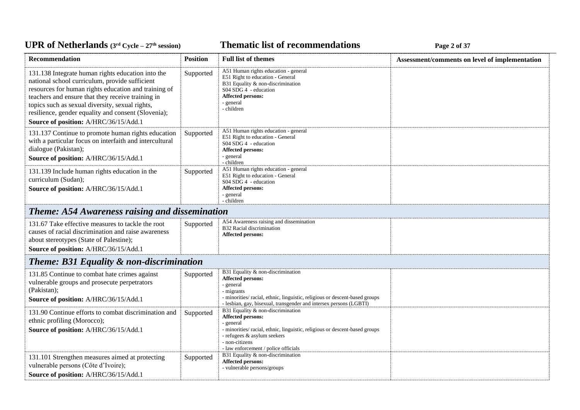### **Thematic list of recommendations Page 2** of 37

| <b>Recommendation</b>                                                                                                                                                                                                                                                                                                                                               | <b>Position</b> | <b>Full list of themes</b>                                                                                                                                                                                                                  | Assessment/comments on level of implementation |
|---------------------------------------------------------------------------------------------------------------------------------------------------------------------------------------------------------------------------------------------------------------------------------------------------------------------------------------------------------------------|-----------------|---------------------------------------------------------------------------------------------------------------------------------------------------------------------------------------------------------------------------------------------|------------------------------------------------|
| 131.138 Integrate human rights education into the<br>national school curriculum, provide sufficient<br>resources for human rights education and training of<br>teachers and ensure that they receive training in<br>topics such as sexual diversity, sexual rights,<br>resilience, gender equality and consent (Slovenia);<br>Source of position: A/HRC/36/15/Add.1 | Supported       | A51 Human rights education - general<br>E51 Right to education - General<br>B31 Equality & non-discrimination<br>S04 SDG 4 - education<br>Affected persons:<br>- general<br>- children                                                      |                                                |
| 131.137 Continue to promote human rights education<br>with a particular focus on interfaith and intercultural<br>dialogue (Pakistan);<br>Source of position: A/HRC/36/15/Add.1                                                                                                                                                                                      | Supported       | A51 Human rights education - general<br>E51 Right to education - General<br>S04 SDG 4 - education<br><b>Affected persons:</b><br>- general<br>- children                                                                                    |                                                |
| 131.139 Include human rights education in the<br>curriculum (Sudan);<br>Source of position: A/HRC/36/15/Add.1                                                                                                                                                                                                                                                       | Supported       | A51 Human rights education - general<br>E51 Right to education - General<br>S04 SDG 4 - education<br><b>Affected persons:</b><br>- general<br>- children                                                                                    |                                                |
| <b>Theme: A54 Awareness raising and dissemination</b>                                                                                                                                                                                                                                                                                                               |                 |                                                                                                                                                                                                                                             |                                                |
| 131.67 Take effective measures to tackle the root<br>causes of racial discrimination and raise awareness<br>about stereotypes (State of Palestine);<br>Source of position: A/HRC/36/15/Add.1                                                                                                                                                                        | Supported       | A54 Awareness raising and dissemination<br>B32 Racial discrimination<br>Affected persons:                                                                                                                                                   |                                                |
| <b>Theme: B31 Equality &amp; non-discrimination</b>                                                                                                                                                                                                                                                                                                                 |                 |                                                                                                                                                                                                                                             |                                                |
| 131.85 Continue to combat hate crimes against<br>vulnerable groups and prosecute perpetrators<br>(Pakistan);<br>Source of position: A/HRC/36/15/Add.1                                                                                                                                                                                                               | Supported       | B31 Equality & non-discrimination<br>Affected persons:<br>- general<br>- migrants<br>- minorities/ racial, ethnic, linguistic, religious or descent-based groups<br>- lesbian, gay, bisexual, transgender and intersex persons (LGBTI)      |                                                |
| 131.90 Continue efforts to combat discrimination and<br>ethnic profiling (Morocco);<br>Source of position: A/HRC/36/15/Add.1                                                                                                                                                                                                                                        | Supported       | B31 Equality & non-discrimination<br>Affected persons:<br>- general<br>- minorities/ racial, ethnic, linguistic, religious or descent-based groups<br>- refugees & asylum seekers<br>- non-citizens<br>- law enforcement / police officials |                                                |
| 131.101 Strengthen measures aimed at protecting<br>vulnerable persons (Côte d'Ivoire);<br>Source of position: A/HRC/36/15/Add.1                                                                                                                                                                                                                                     | Supported       | B31 Equality & non-discrimination<br>Affected persons:<br>- vulnerable persons/groups                                                                                                                                                       |                                                |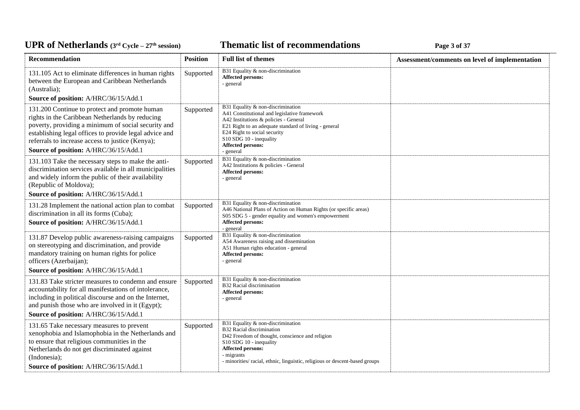### **Thematic list of recommendations Page 3** of 37

| Recommendation                                                                                                                                                                                                                                                                                                 | <b>Position</b> | <b>Full list of themes</b>                                                                                                                                                                                                                                                              | Assessment/comments on level of implementation |
|----------------------------------------------------------------------------------------------------------------------------------------------------------------------------------------------------------------------------------------------------------------------------------------------------------------|-----------------|-----------------------------------------------------------------------------------------------------------------------------------------------------------------------------------------------------------------------------------------------------------------------------------------|------------------------------------------------|
| 131.105 Act to eliminate differences in human rights<br>between the European and Caribbean Netherlands<br>(Australia);<br>Source of position: A/HRC/36/15/Add.1                                                                                                                                                | Supported       | B31 Equality & non-discrimination<br><b>Affected persons:</b><br>- general                                                                                                                                                                                                              |                                                |
| 131.200 Continue to protect and promote human<br>rights in the Caribbean Netherlands by reducing<br>poverty, providing a minimum of social security and<br>establishing legal offices to provide legal advice and<br>referrals to increase access to justice (Kenya);<br>Source of position: A/HRC/36/15/Add.1 | Supported       | B31 Equality & non-discrimination<br>A41 Constitutional and legislative framework<br>A42 Institutions & policies - General<br>E21 Right to an adequate standard of living - general<br>E24 Right to social security<br>S10 SDG 10 - inequality<br><b>Affected persons:</b><br>- general |                                                |
| 131.103 Take the necessary steps to make the anti-<br>discrimination services available in all municipalities<br>and widely inform the public of their availability<br>(Republic of Moldova);                                                                                                                  | Supported       | B31 Equality & non-discrimination<br>A42 Institutions & policies - General<br>Affected persons:<br>- general                                                                                                                                                                            |                                                |
| Source of position: A/HRC/36/15/Add.1                                                                                                                                                                                                                                                                          |                 |                                                                                                                                                                                                                                                                                         |                                                |
| 131.28 Implement the national action plan to combat<br>discrimination in all its forms (Cuba);<br>Source of position: A/HRC/36/15/Add.1                                                                                                                                                                        | Supported       | B31 Equality & non-discrimination<br>A46 National Plans of Action on Human Rights (or specific areas)<br>S05 SDG 5 - gender equality and women's empowerment<br>Affected persons:<br>- general                                                                                          |                                                |
| 131.87 Develop public awareness-raising campaigns<br>on stereotyping and discrimination, and provide<br>mandatory training on human rights for police<br>officers (Azerbaijan);                                                                                                                                | Supported       | B31 Equality & non-discrimination<br>A54 Awareness raising and dissemination<br>A51 Human rights education - general<br><b>Affected persons:</b><br>- general                                                                                                                           |                                                |
| Source of position: A/HRC/36/15/Add.1                                                                                                                                                                                                                                                                          |                 |                                                                                                                                                                                                                                                                                         |                                                |
| 131.83 Take stricter measures to condemn and ensure<br>accountability for all manifestations of intolerance,<br>including in political discourse and on the Internet,<br>and punish those who are involved in it (Egypt);<br>Source of position: A/HRC/36/15/Add.1                                             | Supported       | B31 Equality & non-discrimination<br>B32 Racial discrimination<br><b>Affected persons:</b><br>- general                                                                                                                                                                                 |                                                |
| 131.65 Take necessary measures to prevent<br>xenophobia and Islamophobia in the Netherlands and<br>to ensure that religious communities in the<br>Netherlands do not get discriminated against<br>(Indonesia);<br>Source of position: A/HRC/36/15/Add.1                                                        | Supported       | B31 Equality & non-discrimination<br><b>B32 Racial discrimination</b><br>D42 Freedom of thought, conscience and religion<br>S10 SDG 10 - inequality<br><b>Affected persons:</b><br>- migrants<br>- minorities/racial, ethnic, linguistic, religious or descent-based groups             |                                                |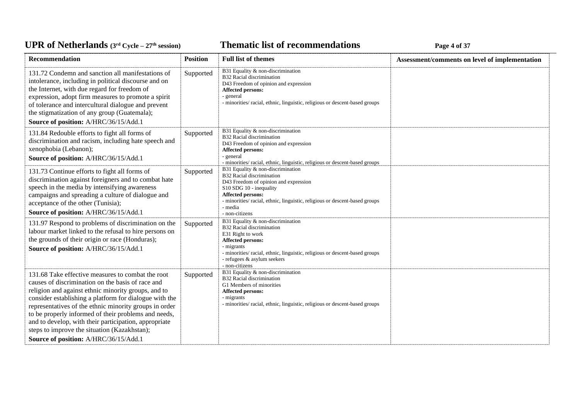### **Thematic list of recommendations Page 4** of 37

| <b>Recommendation</b>                                                                                                                                                                                                                                                                                                                                                                                                                                                                       | <b>Position</b> | <b>Full list of themes</b>                                                                                                                                                                                                                                          | Assessment/comments on level of implementation |
|---------------------------------------------------------------------------------------------------------------------------------------------------------------------------------------------------------------------------------------------------------------------------------------------------------------------------------------------------------------------------------------------------------------------------------------------------------------------------------------------|-----------------|---------------------------------------------------------------------------------------------------------------------------------------------------------------------------------------------------------------------------------------------------------------------|------------------------------------------------|
| 131.72 Condemn and sanction all manifestations of<br>intolerance, including in political discourse and on<br>the Internet, with due regard for freedom of<br>expression, adopt firm measures to promote a spirit<br>of tolerance and intercultural dialogue and prevent<br>the stigmatization of any group (Guatemala);<br>Source of position: A/HRC/36/15/Add.1                                                                                                                            | Supported       | B31 Equality & non-discrimination<br>B32 Racial discrimination<br>D43 Freedom of opinion and expression<br><b>Affected persons:</b><br>- general<br>- minorities/ racial, ethnic, linguistic, religious or descent-based groups                                     |                                                |
| 131.84 Redouble efforts to fight all forms of<br>discrimination and racism, including hate speech and<br>xenophobia (Lebanon);<br>Source of position: A/HRC/36/15/Add.1                                                                                                                                                                                                                                                                                                                     | Supported       | B31 Equality & non-discrimination<br>B32 Racial discrimination<br>D43 Freedom of opinion and expression<br>Affected persons:<br>- general<br>- minorities/ racial, ethnic, linguistic, religious or descent-based groups                                            |                                                |
| 131.73 Continue efforts to fight all forms of<br>discrimination against foreigners and to combat hate<br>speech in the media by intensifying awareness<br>campaigns and spreading a culture of dialogue and<br>acceptance of the other (Tunisia);<br>Source of position: A/HRC/36/15/Add.1                                                                                                                                                                                                  | Supported       | B31 Equality & non-discrimination<br>B32 Racial discrimination<br>D43 Freedom of opinion and expression<br>S10 SDG 10 - inequality<br>Affected persons:<br>- minorities/ racial, ethnic, linguistic, religious or descent-based groups<br>- media<br>- non-citizens |                                                |
| 131.97 Respond to problems of discrimination on the<br>labour market linked to the refusal to hire persons on<br>the grounds of their origin or race (Honduras);<br>Source of position: A/HRC/36/15/Add.1                                                                                                                                                                                                                                                                                   | Supported       | B31 Equality & non-discrimination<br>B32 Racial discrimination<br>E31 Right to work<br>Affected persons:<br>- migrants<br>- minorities/ racial, ethnic, linguistic, religious or descent-based groups<br>- refugees & asylum seekers<br>- non-citizens              |                                                |
| 131.68 Take effective measures to combat the root<br>causes of discrimination on the basis of race and<br>religion and against ethnic minority groups, and to<br>consider establishing a platform for dialogue with the<br>representatives of the ethnic minority groups in order<br>to be properly informed of their problems and needs,<br>and to develop, with their participation, appropriate<br>steps to improve the situation (Kazakhstan);<br>Source of position: A/HRC/36/15/Add.1 | Supported       | B31 Equality & non-discrimination<br><b>B32</b> Racial discrimination<br>G1 Members of minorities<br>Affected persons:<br>- migrants<br>- minorities/ racial, ethnic, linguistic, religious or descent-based groups                                                 |                                                |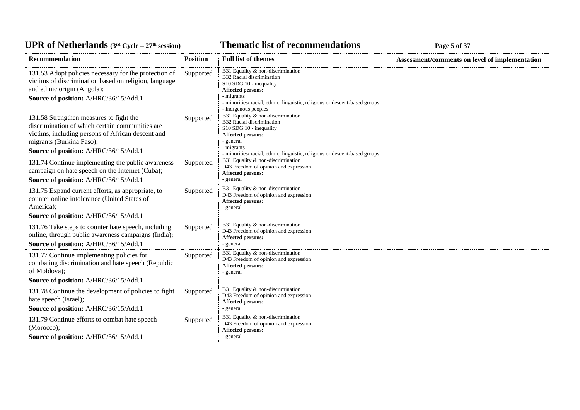### **Thematic list of recommendations Page 5** of 37

| <b>Recommendation</b>                                                                                                                                                                                                | <b>Position</b> | <b>Full list of themes</b>                                                                                                                                                                                                          | Assessment/comments on level of implementation |
|----------------------------------------------------------------------------------------------------------------------------------------------------------------------------------------------------------------------|-----------------|-------------------------------------------------------------------------------------------------------------------------------------------------------------------------------------------------------------------------------------|------------------------------------------------|
| 131.53 Adopt policies necessary for the protection of<br>victims of discrimination based on religion, language<br>and ethnic origin (Angola);<br>Source of position: A/HRC/36/15/Add.1                               | Supported       | B31 Equality & non-discrimination<br>B32 Racial discrimination<br>S10 SDG 10 - inequality<br>Affected persons:<br>- migrants<br>- minorities/ racial, ethnic, linguistic, religious or descent-based groups<br>- Indigenous peoples |                                                |
| 131.58 Strengthen measures to fight the<br>discrimination of which certain communities are<br>victims, including persons of African descent and<br>migrants (Burkina Faso);<br>Source of position: A/HRC/36/15/Add.1 | Supported       | B31 Equality & non-discrimination<br>B32 Racial discrimination<br>S10 SDG 10 - inequality<br><b>Affected persons:</b><br>- general<br>- migrants<br>- minorities/ racial, ethnic, linguistic, religious or descent-based groups     |                                                |
| 131.74 Continue implementing the public awareness<br>campaign on hate speech on the Internet (Cuba);<br>Source of position: A/HRC/36/15/Add.1                                                                        | Supported       | B31 Equality & non-discrimination<br>D43 Freedom of opinion and expression<br>Affected persons:<br>- general                                                                                                                        |                                                |
| 131.75 Expand current efforts, as appropriate, to<br>counter online intolerance (United States of<br>America);<br>Source of position: A/HRC/36/15/Add.1                                                              | Supported       | B31 Equality & non-discrimination<br>D43 Freedom of opinion and expression<br>Affected persons:<br>- general                                                                                                                        |                                                |
| 131.76 Take steps to counter hate speech, including<br>online, through public awareness campaigns (India);<br>Source of position: A/HRC/36/15/Add.1                                                                  | Supported       | B31 Equality & non-discrimination<br>D43 Freedom of opinion and expression<br><b>Affected persons:</b><br>- general                                                                                                                 |                                                |
| 131.77 Continue implementing policies for<br>combating discrimination and hate speech (Republic<br>of Moldova);<br>Source of position: A/HRC/36/15/Add.1                                                             | Supported       | B31 Equality & non-discrimination<br>D43 Freedom of opinion and expression<br><b>Affected persons:</b><br>- general                                                                                                                 |                                                |
| 131.78 Continue the development of policies to fight<br>hate speech (Israel);<br>Source of position: A/HRC/36/15/Add.1                                                                                               | Supported       | B31 Equality & non-discrimination<br>D43 Freedom of opinion and expression<br>Affected persons:<br>- general                                                                                                                        |                                                |
| 131.79 Continue efforts to combat hate speech<br>(Morocco);<br>Source of position: A/HRC/36/15/Add.1                                                                                                                 | Supported       | B31 Equality & non-discrimination<br>D43 Freedom of opinion and expression<br>Affected persons:<br>- general                                                                                                                        |                                                |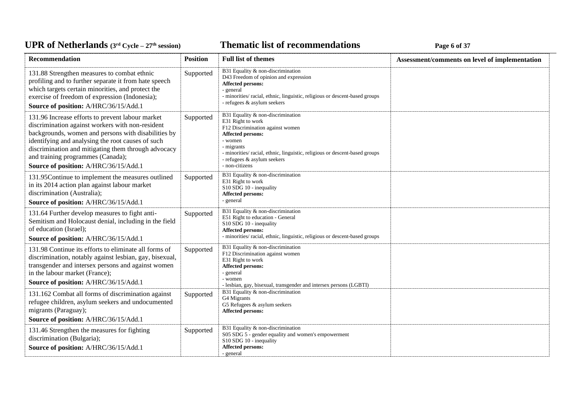### **Thematic list of recommendations Page 6** of 37

| Recommendation                                                                                                                                                                                                                                                                                                                                        | <b>Position</b> | <b>Full list of themes</b>                                                                                                                                                                                                                                                      | Assessment/comments on level of implementation |
|-------------------------------------------------------------------------------------------------------------------------------------------------------------------------------------------------------------------------------------------------------------------------------------------------------------------------------------------------------|-----------------|---------------------------------------------------------------------------------------------------------------------------------------------------------------------------------------------------------------------------------------------------------------------------------|------------------------------------------------|
| 131.88 Strengthen measures to combat ethnic<br>profiling and to further separate it from hate speech<br>which targets certain minorities, and protect the<br>exercise of freedom of expression (Indonesia);<br>Source of position: A/HRC/36/15/Add.1                                                                                                  | Supported       | B31 Equality & non-discrimination<br>D43 Freedom of opinion and expression<br>Affected persons:<br>- general<br>- minorities/ racial, ethnic, linguistic, religious or descent-based groups<br>- refugees & asylum seekers                                                      |                                                |
| 131.96 Increase efforts to prevent labour market<br>discrimination against workers with non-resident<br>backgrounds, women and persons with disabilities by<br>identifying and analysing the root causes of such<br>discrimination and mitigating them through advocacy<br>and training programmes (Canada);<br>Source of position: A/HRC/36/15/Add.1 | Supported       | B31 Equality & non-discrimination<br>E31 Right to work<br>F12 Discrimination against women<br><b>Affected persons:</b><br>- women<br>- migrants<br>- minorities/ racial, ethnic, linguistic, religious or descent-based groups<br>- refugees & asylum seekers<br>- non-citizens |                                                |
| 131.95Continue to implement the measures outlined<br>in its 2014 action plan against labour market<br>discrimination (Australia);<br>Source of position: A/HRC/36/15/Add.1                                                                                                                                                                            | Supported       | B31 Equality & non-discrimination<br>E31 Right to work<br>S10 SDG 10 - inequality<br>Affected persons:<br>- general                                                                                                                                                             |                                                |
| 131.64 Further develop measures to fight anti-<br>Semitism and Holocaust denial, including in the field<br>of education (Israel);<br>Source of position: A/HRC/36/15/Add.1                                                                                                                                                                            | Supported       | B31 Equality & non-discrimination<br>E51 Right to education - General<br>S10 SDG 10 - inequality<br>Affected persons:<br>- minorities/racial, ethnic, linguistic, religious or descent-based groups                                                                             |                                                |
| 131.98 Continue its efforts to eliminate all forms of<br>discrimination, notably against lesbian, gay, bisexual,<br>transgender and intersex persons and against women<br>in the labour market (France);<br>Source of position: A/HRC/36/15/Add.1                                                                                                     | Supported       | B31 Equality & non-discrimination<br>F12 Discrimination against women<br>E31 Right to work<br>Affected persons:<br>- general<br>- women                                                                                                                                         |                                                |
| 131.162 Combat all forms of discrimination against<br>refugee children, asylum seekers and undocumented<br>migrants (Paraguay);<br>Source of position: A/HRC/36/15/Add.1                                                                                                                                                                              | Supported       | - lesbian, gay, bisexual, transgender and intersex persons (LGBTI)<br>B31 Equality & non-discrimination<br>G4 Migrants<br>G5 Refugees & asylum seekers<br>Affected persons:                                                                                                     |                                                |
| 131.46 Strengthen the measures for fighting<br>discrimination (Bulgaria);<br>Source of position: A/HRC/36/15/Add.1                                                                                                                                                                                                                                    | Supported       | B31 Equality & non-discrimination<br>S05 SDG 5 - gender equality and women's empowerment<br>S10 SDG 10 - inequality<br><b>Affected persons:</b><br>- general                                                                                                                    |                                                |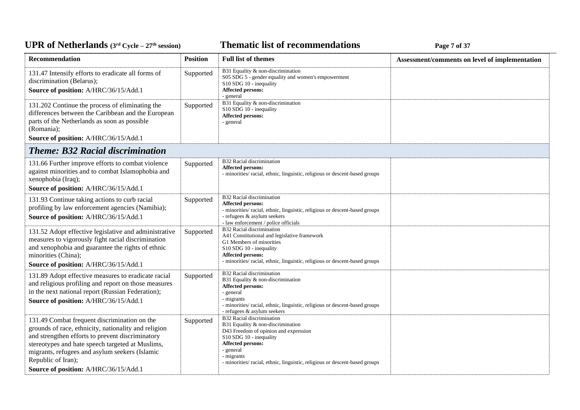**Thematic list of recommendations Page 7** of 37

| Recommendation                                                                                                                                                                                                                                                                                                                | <b>Position</b> | <b>Full list of themes</b>                                                                                                                                                                                                                                               | Assessment/comments on level of implementation |
|-------------------------------------------------------------------------------------------------------------------------------------------------------------------------------------------------------------------------------------------------------------------------------------------------------------------------------|-----------------|--------------------------------------------------------------------------------------------------------------------------------------------------------------------------------------------------------------------------------------------------------------------------|------------------------------------------------|
| 131.47 Intensify efforts to eradicate all forms of<br>discrimination (Belarus);<br>Source of position: A/HRC/36/15/Add.1                                                                                                                                                                                                      | Supported       | B31 Equality & non-discrimination<br>S05 SDG 5 - gender equality and women's empowerment<br>S10 SDG 10 - inequality<br>Affected persons:<br>- general                                                                                                                    |                                                |
| 131.202 Continue the process of eliminating the<br>differences between the Caribbean and the European<br>parts of the Netherlands as soon as possible<br>(Romania);<br>Source of position: A/HRC/36/15/Add.1                                                                                                                  | Supported       | B31 Equality & non-discrimination<br>S10 SDG 10 - inequality<br>Affected persons:<br>- general                                                                                                                                                                           |                                                |
| <b>Theme: B32 Racial discrimination</b>                                                                                                                                                                                                                                                                                       |                 |                                                                                                                                                                                                                                                                          |                                                |
| 131.66 Further improve efforts to combat violence<br>against minorities and to combat Islamophobia and<br>xenophobia (Iraq);<br>Source of position: A/HRC/36/15/Add.1                                                                                                                                                         | Supported       | B32 Racial discrimination<br><b>Affected persons:</b><br>- minorities/racial, ethnic, linguistic, religious or descent-based groups                                                                                                                                      |                                                |
| 131.93 Continue taking actions to curb racial<br>profiling by law enforcement agencies (Namibia);<br>Source of position: A/HRC/36/15/Add.1                                                                                                                                                                                    | Supported       | B32 Racial discrimination<br>Affected persons:<br>- minorities/racial, ethnic, linguistic, religious or descent-based groups<br>- refugees & asylum seekers<br>- law enforcement / police officials                                                                      |                                                |
| 131.52 Adopt effective legislative and administrative<br>measures to vigorously fight racial discrimination<br>and xenophobia and guarantee the rights of ethnic<br>minorities (China);<br>Source of position: A/HRC/36/15/Add.1                                                                                              | Supported       | B32 Racial discrimination<br>A41 Constitutional and legislative framework<br>G1 Members of minorities<br>S10 SDG 10 - inequality<br>Affected persons:<br>- minorities/racial, ethnic, linguistic, religious or descent-based groups                                      |                                                |
| 131.89 Adopt effective measures to eradicate racial<br>and religious profiling and report on those measures<br>in the next national report (Russian Federation);<br>Source of position: A/HRC/36/15/Add.1                                                                                                                     | Supported       | B32 Racial discrimination<br>B31 Equality & non-discrimination<br><b>Affected persons:</b><br>- general<br>- migrants<br>- minorities/racial, ethnic, linguistic, religious or descent-based groups<br>- refugees & asylum seekers                                       |                                                |
| 131.49 Combat frequent discrimination on the<br>grounds of race, ethnicity, nationality and religion<br>and strengthen efforts to prevent discriminatory<br>stereotypes and hate speech targeted at Muslims,<br>migrants, refugees and asylum seekers (Islamic<br>Republic of Iran);<br>Source of position: A/HRC/36/15/Add.1 | Supported       | B32 Racial discrimination<br>B31 Equality & non-discrimination<br>D43 Freedom of opinion and expression<br>S10 SDG 10 - inequality<br><b>Affected persons:</b><br>- general<br>- migrants<br>- minorities/ racial, ethnic, linguistic, religious or descent-based groups |                                                |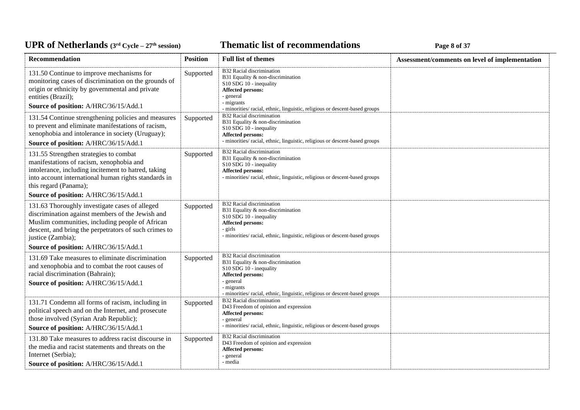### **Thematic list of recommendations Page 8** of 37

| <b>Recommendation</b>                                                                                                                                                                                                               | <b>Position</b> | <b>Full list of themes</b>                                                                                                                                                                                               | Assessment/comments on level of implementation |
|-------------------------------------------------------------------------------------------------------------------------------------------------------------------------------------------------------------------------------------|-----------------|--------------------------------------------------------------------------------------------------------------------------------------------------------------------------------------------------------------------------|------------------------------------------------|
| 131.50 Continue to improve mechanisms for<br>monitoring cases of discrimination on the grounds of<br>origin or ethnicity by governmental and private<br>entities (Brazil);<br>Source of position: A/HRC/36/15/Add.1                 | Supported       | B32 Racial discrimination<br>B31 Equality & non-discrimination<br>S10 SDG 10 - inequality<br>Affected persons:<br>- general<br>- migrants<br>- minorities/ racial, ethnic, linguistic, religious or descent-based groups |                                                |
| 131.54 Continue strengthening policies and measures<br>to prevent and eliminate manifestations of racism,<br>xenophobia and intolerance in society (Uruguay);<br>Source of position: A/HRC/36/15/Add.1                              | Supported       | B32 Racial discrimination<br>B31 Equality & non-discrimination<br>S10 SDG 10 - inequality<br>Affected persons:<br>- minorities/ racial, ethnic, linguistic, religious or descent-based groups                            |                                                |
| 131.55 Strengthen strategies to combat<br>manifestations of racism, xenophobia and<br>intolerance, including incitement to hatred, taking<br>into account international human rights standards in<br>this regard (Panama);          | Supported       | B32 Racial discrimination<br>B31 Equality & non-discrimination<br>S10 SDG 10 - inequality<br><b>Affected persons:</b><br>- minorities/ racial, ethnic, linguistic, religious or descent-based groups                     |                                                |
| Source of position: A/HRC/36/15/Add.1                                                                                                                                                                                               |                 |                                                                                                                                                                                                                          |                                                |
| 131.63 Thoroughly investigate cases of alleged<br>discrimination against members of the Jewish and<br>Muslim communities, including people of African<br>descent, and bring the perpetrators of such crimes to<br>justice (Zambia); | Supported       | B32 Racial discrimination<br>B31 Equality & non-discrimination<br>S10 SDG 10 - inequality<br>Affected persons:<br>- girls<br>- minorities/ racial, ethnic, linguistic, religious or descent-based groups                 |                                                |
| Source of position: A/HRC/36/15/Add.1                                                                                                                                                                                               |                 |                                                                                                                                                                                                                          |                                                |
| 131.69 Take measures to eliminate discrimination<br>and xenophobia and to combat the root causes of<br>racial discrimination (Bahrain);<br>Source of position: A/HRC/36/15/Add.1                                                    | Supported       | B32 Racial discrimination<br>B31 Equality & non-discrimination<br>S10 SDG 10 - inequality<br>Affected persons:<br>- general<br>- migrants<br>- minorities/ racial, ethnic, linguistic, religious or descent-based groups |                                                |
| 131.71 Condemn all forms of racism, including in<br>political speech and on the Internet, and prosecute<br>those involved (Syrian Arab Republic);<br>Source of position: A/HRC/36/15/Add.1                                          | Supported       | B32 Racial discrimination<br>D43 Freedom of opinion and expression<br><b>Affected persons:</b><br>- general<br>- minorities/ racial, ethnic, linguistic, religious or descent-based groups                               |                                                |
| 131.80 Take measures to address racist discourse in<br>the media and racist statements and threats on the<br>Internet (Serbia);<br>Source of position: A/HRC/36/15/Add.1                                                            | Supported       | B32 Racial discrimination<br>D43 Freedom of opinion and expression<br><b>Affected persons:</b><br>- general<br>- media                                                                                                   |                                                |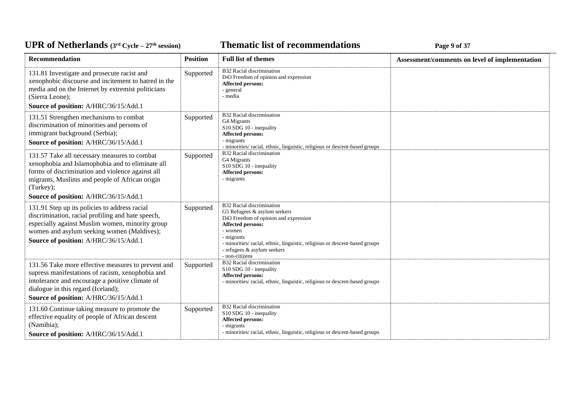### *C***ELE <b>EXECUTE: CYCLE 27E** *S* **C EXECUTE: Page 9** of 37

| <b>Recommendation</b>                                                                                                                                                                                                                                        | <b>Position</b> | <b>Full list of themes</b>                                                                                                                                                                                                                                                       | Assessment/comments on level of implementation |
|--------------------------------------------------------------------------------------------------------------------------------------------------------------------------------------------------------------------------------------------------------------|-----------------|----------------------------------------------------------------------------------------------------------------------------------------------------------------------------------------------------------------------------------------------------------------------------------|------------------------------------------------|
| 131.81 Investigate and prosecute racist and<br>xenophobic discourse and incitement to hatred in the<br>media and on the Internet by extremist politicians<br>(Sierra Leone);                                                                                 | Supported       | B32 Racial discrimination<br>D43 Freedom of opinion and expression<br>Affected persons:<br>- general<br>- media                                                                                                                                                                  |                                                |
| Source of position: A/HRC/36/15/Add.1                                                                                                                                                                                                                        |                 |                                                                                                                                                                                                                                                                                  |                                                |
| 131.51 Strengthen mechanisms to combat<br>discrimination of minorities and persons of<br>immigrant background (Serbia);<br>Source of position: A/HRC/36/15/Add.1                                                                                             | Supported       | B32 Racial discrimination<br>G4 Migrants<br>S10 SDG 10 - inequality<br>Affected persons:<br>- migrants<br>- minorities/ racial, ethnic, linguistic, religious or descent-based groups                                                                                            |                                                |
| 131.57 Take all necessary measures to combat<br>xenophobia and Islamophobia and to eliminate all<br>forms of discrimination and violence against all<br>migrants, Muslims and people of African origin<br>(Turkey);<br>Source of position: A/HRC/36/15/Add.1 | Supported       | B32 Racial discrimination<br>G4 Migrants<br>S10 SDG 10 - inequality<br>Affected persons:<br>- migrants                                                                                                                                                                           |                                                |
| 131.91 Step up its policies to address racial<br>discrimination, racial profiling and hate speech,<br>especially against Muslim women, minority group<br>women and asylum seeking women (Maldives);<br>Source of position: A/HRC/36/15/Add.1                 | Supported       | B32 Racial discrimination<br>G5 Refugees & asylum seekers<br>D43 Freedom of opinion and expression<br>Affected persons:<br>- women<br>- migrants<br>- minorities/ racial, ethnic, linguistic, religious or descent-based groups<br>- refugees & asylum seekers<br>- non-citizens |                                                |
| 131.56 Take more effective measures to prevent and<br>supress manifestations of racism, xenophobia and<br>intolerance and encourage a positive climate of<br>dialogue in this regard (Iceland);<br>Source of position: A/HRC/36/15/Add.1                     | Supported       | B32 Racial discrimination<br>S10 SDG 10 - inequality<br>Affected persons:<br>- minorities/ racial, ethnic, linguistic, religious or descent-based groups                                                                                                                         |                                                |
| 131.60 Continue taking measure to promote the<br>effective equality of people of African descent<br>(Namibia);<br>Source of position: A/HRC/36/15/Add.1                                                                                                      | Supported       | B32 Racial discrimination<br>S10 SDG 10 - inequality<br>Affected persons:<br>- migrants<br>- minorities/ racial, ethnic, linguistic, religious or descent-based groups                                                                                                           |                                                |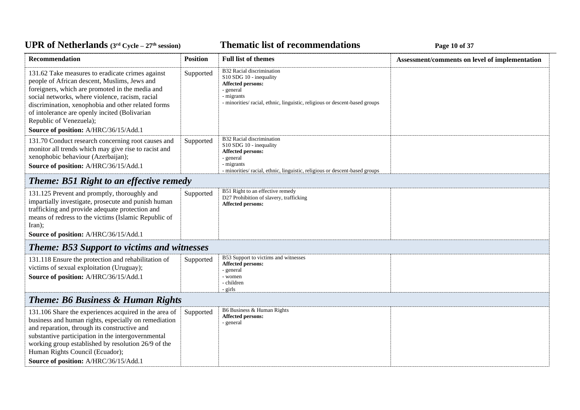### *C***ELE – <b>27 EXECUTE: CYCLE 27 EXECUTE: Page 10 of 37**

| <b>Recommendation</b>                                                                                                                                                                                                                                                                                                                                                             | <b>Position</b> | <b>Full list of themes</b>                                                                                                                                                                | Assessment/comments on level of implementation |  |
|-----------------------------------------------------------------------------------------------------------------------------------------------------------------------------------------------------------------------------------------------------------------------------------------------------------------------------------------------------------------------------------|-----------------|-------------------------------------------------------------------------------------------------------------------------------------------------------------------------------------------|------------------------------------------------|--|
| 131.62 Take measures to eradicate crimes against<br>people of African descent, Muslims, Jews and<br>foreigners, which are promoted in the media and<br>social networks, where violence, racism, racial<br>discrimination, xenophobia and other related forms<br>of intolerance are openly incited (Bolivarian<br>Republic of Venezuela);<br>Source of position: A/HRC/36/15/Add.1 | Supported       | B32 Racial discrimination<br>S10 SDG 10 - inequality<br><b>Affected persons:</b><br>- general<br>- migrants<br>- minorities/racial, ethnic, linguistic, religious or descent-based groups |                                                |  |
| 131.70 Conduct research concerning root causes and<br>monitor all trends which may give rise to racist and<br>xenophobic behaviour (Azerbaijan);<br>Source of position: A/HRC/36/15/Add.1                                                                                                                                                                                         | Supported       | B32 Racial discrimination<br>S10 SDG 10 - inequality<br><b>Affected persons:</b><br>- general<br>- migrants<br>- minorities/racial, ethnic, linguistic, religious or descent-based groups |                                                |  |
| <b>Theme: B51 Right to an effective remedy</b>                                                                                                                                                                                                                                                                                                                                    |                 |                                                                                                                                                                                           |                                                |  |
| 131.125 Prevent and promptly, thoroughly and<br>impartially investigate, prosecute and punish human<br>trafficking and provide adequate protection and<br>means of redress to the victims (Islamic Republic of<br>$\text{Iran}$ );<br>Source of position: A/HRC/36/15/Add.1                                                                                                       | Supported       | B51 Right to an effective remedy<br>D27 Prohibition of slavery, trafficking<br>Affected persons:                                                                                          |                                                |  |
| <b>Theme: B53 Support to victims and witnesses</b>                                                                                                                                                                                                                                                                                                                                |                 |                                                                                                                                                                                           |                                                |  |
| 131.118 Ensure the protection and rehabilitation of<br>victims of sexual exploitation (Uruguay);<br>Source of position: A/HRC/36/15/Add.1                                                                                                                                                                                                                                         | Supported       | B53 Support to victims and witnesses<br><b>Affected persons:</b><br>- general<br>- women<br>- children<br>- girls                                                                         |                                                |  |
| <b>Theme: B6 Business &amp; Human Rights</b>                                                                                                                                                                                                                                                                                                                                      |                 |                                                                                                                                                                                           |                                                |  |
| 131.106 Share the experiences acquired in the area of<br>business and human rights, especially on remediation<br>and reparation, through its constructive and<br>substantive participation in the intergovernmental<br>working group established by resolution 26/9 of the<br>Human Rights Council (Ecuador);<br>Source of position: A/HRC/36/15/Add.1                            | Supported       | B6 Business & Human Rights<br>Affected persons:<br>- general                                                                                                                              |                                                |  |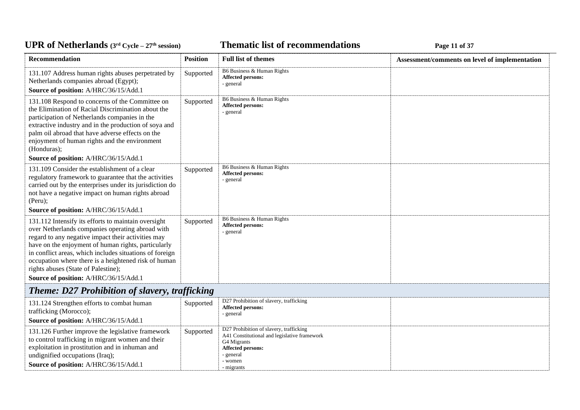**Thematic list of recommendations Page 11 of 37** 

| Recommendation                                                                                                                                                                                                                                                                                                                                                                                                          | <b>Position</b> | <b>Full list of themes</b>                                                                                                                                        | Assessment/comments on level of implementation |
|-------------------------------------------------------------------------------------------------------------------------------------------------------------------------------------------------------------------------------------------------------------------------------------------------------------------------------------------------------------------------------------------------------------------------|-----------------|-------------------------------------------------------------------------------------------------------------------------------------------------------------------|------------------------------------------------|
| 131.107 Address human rights abuses perpetrated by<br>Netherlands companies abroad (Egypt);<br>Source of position: A/HRC/36/15/Add.1                                                                                                                                                                                                                                                                                    | Supported       | B6 Business & Human Rights<br><b>Affected persons:</b><br>- general                                                                                               |                                                |
| 131.108 Respond to concerns of the Committee on<br>the Elimination of Racial Discrimination about the<br>participation of Netherlands companies in the<br>extractive industry and in the production of soya and<br>palm oil abroad that have adverse effects on the<br>enjoyment of human rights and the environment<br>(Honduras);<br>Source of position: A/HRC/36/15/Add.1                                            | Supported       | B6 Business & Human Rights<br><b>Affected persons:</b><br>- general                                                                                               |                                                |
| 131.109 Consider the establishment of a clear<br>regulatory framework to guarantee that the activities<br>carried out by the enterprises under its jurisdiction do<br>not have a negative impact on human rights abroad<br>(Peru);<br>Source of position: A/HRC/36/15/Add.1                                                                                                                                             | Supported       | B6 Business & Human Rights<br><b>Affected persons:</b><br>- general                                                                                               |                                                |
| 131.112 Intensify its efforts to maintain oversight<br>over Netherlands companies operating abroad with<br>regard to any negative impact their activities may<br>have on the enjoyment of human rights, particularly<br>in conflict areas, which includes situations of foreign<br>occupation where there is a heightened risk of human<br>rights abuses (State of Palestine);<br>Source of position: A/HRC/36/15/Add.1 | Supported       | B6 Business & Human Rights<br>Affected persons:<br>- general                                                                                                      |                                                |
| <b>Theme: D27 Prohibition of slavery, trafficking</b>                                                                                                                                                                                                                                                                                                                                                                   |                 |                                                                                                                                                                   |                                                |
| 131.124 Strengthen efforts to combat human<br>trafficking (Morocco);<br>Source of position: A/HRC/36/15/Add.1                                                                                                                                                                                                                                                                                                           | Supported       | D27 Prohibition of slavery, trafficking<br>Affected persons:<br>- general                                                                                         |                                                |
| 131.126 Further improve the legislative framework<br>to control trafficking in migrant women and their<br>exploitation in prostitution and in inhuman and<br>undignified occupations (Iraq);<br>Source of position: A/HRC/36/15/Add.1                                                                                                                                                                                   | Supported       | D27 Prohibition of slavery, trafficking<br>A41 Constitutional and legislative framework<br>G4 Migrants<br>Affected persons:<br>- general<br>- women<br>- migrants |                                                |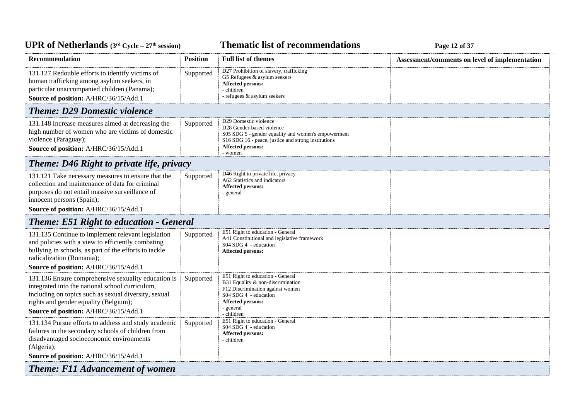### **Thematic list of recommendations Page 12 of 37**

| Recommendation                                                                                                                                                                                                                                   | <b>Position</b> | <b>Full list of themes</b>                                                                                                                                                                              | Assessment/comments on level of implementation |
|--------------------------------------------------------------------------------------------------------------------------------------------------------------------------------------------------------------------------------------------------|-----------------|---------------------------------------------------------------------------------------------------------------------------------------------------------------------------------------------------------|------------------------------------------------|
| 131.127 Redouble efforts to identify victims of<br>human trafficking among asylum seekers, in<br>particular unaccompanied children (Panama);<br>Source of position: A/HRC/36/15/Add.1                                                            | Supported       | D27 Prohibition of slavery, trafficking<br>G5 Refugees & asylum seekers<br>Affected persons:<br>- children<br>- refugees & asylum seekers                                                               |                                                |
| <b>Theme: D29 Domestic violence</b>                                                                                                                                                                                                              |                 |                                                                                                                                                                                                         |                                                |
| 131.148 Increase measures aimed at decreasing the<br>high number of women who are victims of domestic<br>violence (Paraguay);<br>Source of position: A/HRC/36/15/Add.1                                                                           | Supported       | D29 Domestic violence<br>D28 Gender-based violence<br>S05 SDG 5 - gender equality and women's empowerment<br>S16 SDG 16 - peace, justice and strong institutions<br><b>Affected persons:</b><br>- women |                                                |
| Theme: D46 Right to private life, privacy                                                                                                                                                                                                        |                 |                                                                                                                                                                                                         |                                                |
| 131.121 Take necessary measures to ensure that the<br>collection and maintenance of data for criminal<br>purposes do not entail massive surveillance of<br>innocent persons (Spain);<br>Source of position: A/HRC/36/15/Add.1                    | Supported       | D46 Right to private life, privacy<br>A62 Statistics and indicators<br>Affected persons:<br>- general                                                                                                   |                                                |
| <b>Theme: E51 Right to education - General</b>                                                                                                                                                                                                   |                 |                                                                                                                                                                                                         |                                                |
| 131.135 Continue to implement relevant legislation<br>and policies with a view to efficiently combating<br>bullying in schools, as part of the efforts to tackle<br>radicalization (Romania);<br>Source of position: A/HRC/36/15/Add.1           | Supported       | E51 Right to education - General<br>A41 Constitutional and legislative framework<br>S04 SDG 4 - education<br><b>Affected persons:</b>                                                                   |                                                |
| 131.136 Ensure comprehensive sexuality education is<br>integrated into the national school curriculum,<br>including on topics such as sexual diversity, sexual<br>rights and gender equality (Belgium);<br>Source of position: A/HRC/36/15/Add.1 | Supported       | E51 Right to education - General<br>B31 Equality & non-discrimination<br>F12 Discrimination against women<br>S04 SDG 4 - education<br><b>Affected persons:</b><br>- general<br>- children               |                                                |
| 131.134 Pursue efforts to address and study academic<br>failures in the secondary schools of children from<br>disadvantaged socioeconomic environments<br>(Algeria);<br>Source of position: A/HRC/36/15/Add.1                                    | Supported       | E51 Right to education - General<br>S04 SDG 4 - education<br><b>Affected persons:</b><br>- children                                                                                                     |                                                |
| <b>Theme: F11 Advancement of women</b>                                                                                                                                                                                                           |                 |                                                                                                                                                                                                         |                                                |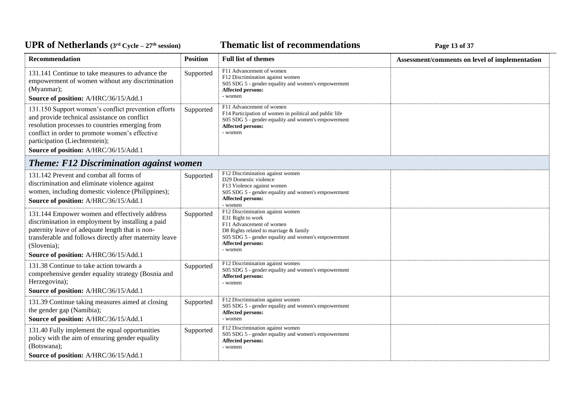### **Thematic list of recommendations Page 13 of 37**

| Recommendation                                                                                                                                                                                                                                                                      | <b>Position</b> | <b>Full list of themes</b>                                                                                                                                                                                         | Assessment/comments on level of implementation |
|-------------------------------------------------------------------------------------------------------------------------------------------------------------------------------------------------------------------------------------------------------------------------------------|-----------------|--------------------------------------------------------------------------------------------------------------------------------------------------------------------------------------------------------------------|------------------------------------------------|
| 131.141 Continue to take measures to advance the<br>empowerment of women without any discrimination<br>(Myanmar);<br>Source of position: A/HRC/36/15/Add.1                                                                                                                          | Supported       | F11 Advancement of women<br>F12 Discrimination against women<br>S05 SDG 5 - gender equality and women's empowerment<br><b>Affected persons:</b><br>- women                                                         |                                                |
| 131.150 Support women's conflict prevention efforts<br>and provide technical assistance on conflict<br>resolution processes to countries emerging from<br>conflict in order to promote women's effective<br>participation (Liechtenstein);<br>Source of position: A/HRC/36/15/Add.1 | Supported       | F11 Advancement of women<br>F14 Participation of women in political and public life<br>S05 SDG 5 - gender equality and women's empowerment<br><b>Affected persons:</b><br>- women                                  |                                                |
| <b>Theme: F12 Discrimination against women</b>                                                                                                                                                                                                                                      |                 |                                                                                                                                                                                                                    |                                                |
| 131.142 Prevent and combat all forms of<br>discrimination and eliminate violence against<br>women, including domestic violence (Philippines);<br>Source of position: A/HRC/36/15/Add.1                                                                                              | Supported       | F12 Discrimination against women<br>D29 Domestic violence<br>F13 Violence against women<br>S05 SDG 5 - gender equality and women's empowerment<br><b>Affected persons:</b><br>- women                              |                                                |
| 131.144 Empower women and effectively address<br>discrimination in employment by installing a paid<br>paternity leave of adequate length that is non-<br>transferable and follows directly after maternity leave<br>(Slovenia);<br>Source of position: A/HRC/36/15/Add.1            | Supported       | F12 Discrimination against women<br>E31 Right to work<br>F11 Advancement of women<br>D8 Rights related to marriage & family<br>S05 SDG 5 - gender equality and women's empowerment<br>Affected persons:<br>- women |                                                |
| 131.38 Continue to take action towards a<br>comprehensive gender equality strategy (Bosnia and<br>Herzegovina);<br>Source of position: A/HRC/36/15/Add.1                                                                                                                            | Supported       | F12 Discrimination against women<br>S05 SDG 5 - gender equality and women's empowerment<br><b>Affected persons:</b><br>- women                                                                                     |                                                |
| 131.39 Continue taking measures aimed at closing<br>the gender gap (Namibia);<br>Source of position: A/HRC/36/15/Add.1                                                                                                                                                              | Supported       | F12 Discrimination against women<br>S05 SDG 5 - gender equality and women's empowerment<br>Affected persons:<br>- women                                                                                            |                                                |
| 131.40 Fully implement the equal opportunities<br>policy with the aim of ensuring gender equality<br>(Botswana);                                                                                                                                                                    | Supported       | F12 Discrimination against women<br>S05 SDG 5 - gender equality and women's empowerment<br><b>Affected persons:</b><br>- women                                                                                     |                                                |
| Source of position: A/HRC/36/15/Add.1                                                                                                                                                                                                                                               |                 |                                                                                                                                                                                                                    |                                                |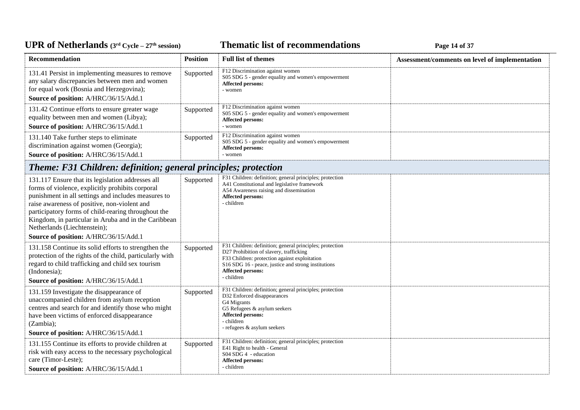### **Thematic list of recommendations Page 14 of 37**

| Recommendation                                                                                                                                                                                                                                                                                                                                              | <b>Position</b> | <b>Full list of themes</b>                                                                                                                                                                                                                            | Assessment/comments on level of implementation |
|-------------------------------------------------------------------------------------------------------------------------------------------------------------------------------------------------------------------------------------------------------------------------------------------------------------------------------------------------------------|-----------------|-------------------------------------------------------------------------------------------------------------------------------------------------------------------------------------------------------------------------------------------------------|------------------------------------------------|
| 131.41 Persist in implementing measures to remove<br>any salary discrepancies between men and women<br>for equal work (Bosnia and Herzegovina);<br>Source of position: A/HRC/36/15/Add.1                                                                                                                                                                    | Supported       | F12 Discrimination against women<br>S05 SDG 5 - gender equality and women's empowerment<br><b>Affected persons:</b><br>- women                                                                                                                        |                                                |
| 131.42 Continue efforts to ensure greater wage<br>equality between men and women (Libya);<br>Source of position: A/HRC/36/15/Add.1                                                                                                                                                                                                                          | Supported       | F12 Discrimination against women<br>S05 SDG 5 - gender equality and women's empowerment<br>Affected persons:<br>- women                                                                                                                               |                                                |
| 131.140 Take further steps to eliminate<br>discrimination against women (Georgia);<br>Source of position: A/HRC/36/15/Add.1                                                                                                                                                                                                                                 | Supported       | F12 Discrimination against women<br>S05 SDG 5 - gender equality and women's empowerment<br>Affected persons:<br>- women                                                                                                                               |                                                |
| Theme: F31 Children: definition; general principles; protection                                                                                                                                                                                                                                                                                             |                 |                                                                                                                                                                                                                                                       |                                                |
| 131.117 Ensure that its legislation addresses all<br>forms of violence, explicitly prohibits corporal<br>punishment in all settings and includes measures to<br>raise awareness of positive, non-violent and<br>participatory forms of child-rearing throughout the<br>Kingdom, in particular in Aruba and in the Caribbean<br>Netherlands (Liechtenstein); | Supported       | F31 Children: definition; general principles; protection<br>A41 Constitutional and legislative framework<br>A54 Awareness raising and dissemination<br><b>Affected persons:</b><br>- children                                                         |                                                |
| Source of position: A/HRC/36/15/Add.1                                                                                                                                                                                                                                                                                                                       |                 |                                                                                                                                                                                                                                                       |                                                |
| 131.158 Continue its solid efforts to strengthen the<br>protection of the rights of the child, particularly with<br>regard to child trafficking and child sex tourism<br>(Indonesia);<br>Source of position: A/HRC/36/15/Add.1                                                                                                                              | Supported       | F31 Children: definition; general principles; protection<br>D27 Prohibition of slavery, trafficking<br>F33 Children: protection against exploitation<br>S16 SDG 16 - peace, justice and strong institutions<br><b>Affected persons:</b><br>- children |                                                |
| 131.159 Investigate the disappearance of<br>unaccompanied children from asylum reception<br>centres and search for and identify those who might<br>have been victims of enforced disappearance<br>(Zambia);<br>Source of position: A/HRC/36/15/Add.1                                                                                                        | Supported       | F31 Children: definition; general principles; protection<br>D32 Enforced disappearances<br>G4 Migrants<br>G5 Refugees & asylum seekers<br>Affected persons:<br>- children<br>- refugees & asylum seekers                                              |                                                |
| 131.155 Continue its efforts to provide children at<br>risk with easy access to the necessary psychological<br>care (Timor-Leste);<br>Source of position: A/HRC/36/15/Add.1                                                                                                                                                                                 | Supported       | F31 Children: definition; general principles; protection<br>E41 Right to health - General<br>S04 SDG 4 - education<br>Affected persons:<br>- children                                                                                                 |                                                |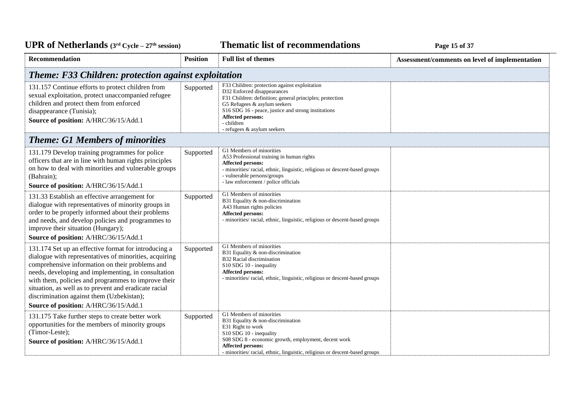**Thematic list of recommendations Page 15** of 37

| Recommendation                                                                                                                                                                                                                                                                                                                                                                                                                 | <b>Position</b> | <b>Full list of themes</b>                                                                                                                                                                                                                                                                        | Assessment/comments on level of implementation |
|--------------------------------------------------------------------------------------------------------------------------------------------------------------------------------------------------------------------------------------------------------------------------------------------------------------------------------------------------------------------------------------------------------------------------------|-----------------|---------------------------------------------------------------------------------------------------------------------------------------------------------------------------------------------------------------------------------------------------------------------------------------------------|------------------------------------------------|
| Theme: F33 Children: protection against exploitation                                                                                                                                                                                                                                                                                                                                                                           |                 |                                                                                                                                                                                                                                                                                                   |                                                |
| 131.157 Continue efforts to protect children from<br>sexual exploitation, protect unaccompanied refugee<br>children and protect them from enforced<br>disappearance (Tunisia);<br>Source of position: A/HRC/36/15/Add.1                                                                                                                                                                                                        | Supported       | F33 Children: protection against exploitation<br>D32 Enforced disappearances<br>F31 Children: definition; general principles; protection<br>G5 Refugees & asylum seekers<br>S16 SDG 16 - peace, justice and strong institutions<br>Affected persons:<br>- children<br>- refugees & asylum seekers |                                                |
| <b>Theme: G1 Members of minorities</b>                                                                                                                                                                                                                                                                                                                                                                                         |                 |                                                                                                                                                                                                                                                                                                   |                                                |
| 131.179 Develop training programmes for police<br>officers that are in line with human rights principles<br>on how to deal with minorities and vulnerable groups<br>(Bahrain);<br>Source of position: A/HRC/36/15/Add.1                                                                                                                                                                                                        | Supported       | G1 Members of minorities<br>A53 Professional training in human rights<br><b>Affected persons:</b><br>- minorities/ racial, ethnic, linguistic, religious or descent-based groups<br>- vulnerable persons/groups<br>- law enforcement / police officials                                           |                                                |
| 131.33 Establish an effective arrangement for<br>dialogue with representatives of minority groups in<br>order to be properly informed about their problems<br>and needs, and develop policies and programmes to<br>improve their situation (Hungary);<br>Source of position: A/HRC/36/15/Add.1                                                                                                                                 | Supported       | G1 Members of minorities<br>B31 Equality & non-discrimination<br>A43 Human rights policies<br><b>Affected persons:</b><br>- minorities/ racial, ethnic, linguistic, religious or descent-based groups                                                                                             |                                                |
| 131.174 Set up an effective format for introducing a<br>dialogue with representatives of minorities, acquiring<br>comprehensive information on their problems and<br>needs, developing and implementing, in consultation<br>with them, policies and programmes to improve their<br>situation, as well as to prevent and eradicate racial<br>discrimination against them (Uzbekistan);<br>Source of position: A/HRC/36/15/Add.1 | Supported       | G1 Members of minorities<br>B31 Equality & non-discrimination<br>B32 Racial discrimination<br>S10 SDG 10 - inequality<br>Affected persons:<br>- minorities/ racial, ethnic, linguistic, religious or descent-based groups                                                                         |                                                |
| 131.175 Take further steps to create better work<br>opportunities for the members of minority groups<br>(Timor-Leste);<br>Source of position: A/HRC/36/15/Add.1                                                                                                                                                                                                                                                                | Supported       | G1 Members of minorities<br>B31 Equality & non-discrimination<br>E31 Right to work<br>S10 SDG 10 - inequality<br>S08 SDG 8 - economic growth, employment, decent work<br><b>Affected persons:</b><br>- minorities/ racial, ethnic, linguistic, religious or descent-based groups                  |                                                |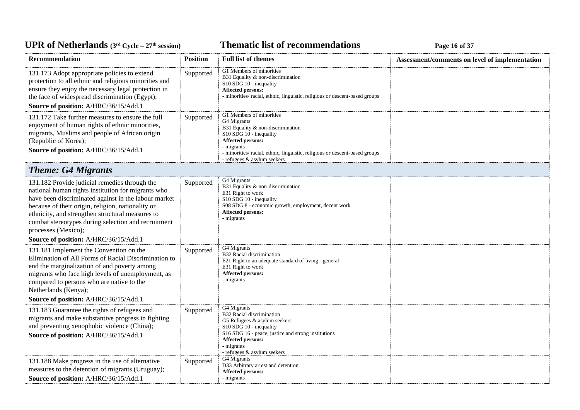### **Thematic list of recommendations Page 16** of 37

| Recommendation                                                                                                                                                                                                                                                                                                                                                                              | <b>Position</b> | <b>Full list of themes</b>                                                                                                                                                                                                                                      | Assessment/comments on level of implementation |
|---------------------------------------------------------------------------------------------------------------------------------------------------------------------------------------------------------------------------------------------------------------------------------------------------------------------------------------------------------------------------------------------|-----------------|-----------------------------------------------------------------------------------------------------------------------------------------------------------------------------------------------------------------------------------------------------------------|------------------------------------------------|
| 131.173 Adopt appropriate policies to extend<br>protection to all ethnic and religious minorities and<br>ensure they enjoy the necessary legal protection in<br>the face of widespread discrimination (Egypt);<br>Source of position: A/HRC/36/15/Add.1                                                                                                                                     | Supported       | G1 Members of minorities<br>B31 Equality & non-discrimination<br>S10 SDG 10 - inequality<br>Affected persons:<br>- minorities/ racial, ethnic, linguistic, religious or descent-based groups                                                                    |                                                |
| 131.172 Take further measures to ensure the full<br>enjoyment of human rights of ethnic minorities,<br>migrants, Muslims and people of African origin<br>(Republic of Korea);<br>Source of position: A/HRC/36/15/Add.1                                                                                                                                                                      | Supported       | G1 Members of minorities<br>G4 Migrants<br>B31 Equality & non-discrimination<br>S10 SDG 10 - inequality<br><b>Affected persons:</b><br>- migrants<br>- minorities/ racial, ethnic, linguistic, religious or descent-based groups<br>- refugees & asylum seekers |                                                |
| <b>Theme: G4 Migrants</b>                                                                                                                                                                                                                                                                                                                                                                   |                 |                                                                                                                                                                                                                                                                 |                                                |
| 131.182 Provide judicial remedies through the<br>national human rights institution for migrants who<br>have been discriminated against in the labour market<br>because of their origin, religion, nationality or<br>ethnicity, and strengthen structural measures to<br>combat stereotypes during selection and recruitment<br>processes (Mexico);<br>Source of position: A/HRC/36/15/Add.1 | Supported       | G4 Migrants<br>B31 Equality & non-discrimination<br>E31 Right to work<br>S10 SDG 10 - inequality<br>S08 SDG 8 - economic growth, employment, decent work<br><b>Affected persons:</b><br>- migrants                                                              |                                                |
| 131.181 Implement the Convention on the<br>Elimination of All Forms of Racial Discrimination to<br>end the marginalization of and poverty among<br>migrants who face high levels of unemployment, as<br>compared to persons who are native to the<br>Netherlands (Kenya);<br>Source of position: A/HRC/36/15/Add.1                                                                          | Supported       | G4 Migrants<br>B32 Racial discrimination<br>E21 Right to an adequate standard of living - general<br>E31 Right to work<br><b>Affected persons:</b><br>- migrants                                                                                                |                                                |
| 131.183 Guarantee the rights of refugees and<br>migrants and make substantive progress in fighting<br>and preventing xenophobic violence (China);<br>Source of position: A/HRC/36/15/Add.1                                                                                                                                                                                                  | Supported       | G4 Migrants<br>B32 Racial discrimination<br>G5 Refugees & asylum seekers<br>S10 SDG 10 - inequality<br>S16 SDG 16 - peace, justice and strong institutions<br>Affected persons:<br>- migrants<br>- refugees & asylum seekers                                    |                                                |
| 131.188 Make progress in the use of alternative<br>measures to the detention of migrants (Uruguay);<br>Source of position: A/HRC/36/15/Add.1                                                                                                                                                                                                                                                | Supported       | G4 Migrants<br>D33 Arbitrary arrest and detention<br>Affected persons:<br>- migrants                                                                                                                                                                            |                                                |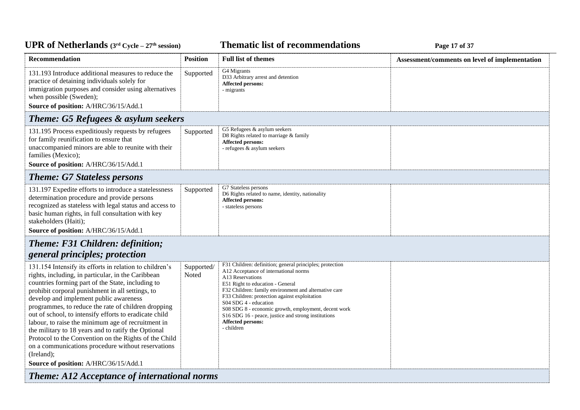## *Page 17 of 37* **<b>Page 17** of 37

| Recommendation                                                                                                                                                                                                                                                                                                                                                                                                                                                                                                                                                                                                                                                       | <b>Position</b>     | <b>Full list of themes</b>                                                                                                                                                                                                                                                                                                                                                                                                                     | Assessment/comments on level of implementation |
|----------------------------------------------------------------------------------------------------------------------------------------------------------------------------------------------------------------------------------------------------------------------------------------------------------------------------------------------------------------------------------------------------------------------------------------------------------------------------------------------------------------------------------------------------------------------------------------------------------------------------------------------------------------------|---------------------|------------------------------------------------------------------------------------------------------------------------------------------------------------------------------------------------------------------------------------------------------------------------------------------------------------------------------------------------------------------------------------------------------------------------------------------------|------------------------------------------------|
| 131.193 Introduce additional measures to reduce the<br>practice of detaining individuals solely for<br>immigration purposes and consider using alternatives<br>when possible (Sweden);                                                                                                                                                                                                                                                                                                                                                                                                                                                                               | Supported           | G4 Migrants<br>D33 Arbitrary arrest and detention<br>Affected persons:<br>- migrants                                                                                                                                                                                                                                                                                                                                                           |                                                |
| Source of position: A/HRC/36/15/Add.1                                                                                                                                                                                                                                                                                                                                                                                                                                                                                                                                                                                                                                |                     |                                                                                                                                                                                                                                                                                                                                                                                                                                                |                                                |
| Theme: G5 Refugees & asylum seekers                                                                                                                                                                                                                                                                                                                                                                                                                                                                                                                                                                                                                                  |                     |                                                                                                                                                                                                                                                                                                                                                                                                                                                |                                                |
| 131.195 Process expeditiously requests by refugees<br>for family reunification to ensure that<br>unaccompanied minors are able to reunite with their<br>families (Mexico);<br>Source of position: A/HRC/36/15/Add.1                                                                                                                                                                                                                                                                                                                                                                                                                                                  | Supported           | G5 Refugees & asylum seekers<br>D8 Rights related to marriage & family<br>Affected persons:<br>- refugees $\&$ asylum seekers                                                                                                                                                                                                                                                                                                                  |                                                |
| <b>Theme: G7 Stateless persons</b>                                                                                                                                                                                                                                                                                                                                                                                                                                                                                                                                                                                                                                   |                     |                                                                                                                                                                                                                                                                                                                                                                                                                                                |                                                |
| 131.197 Expedite efforts to introduce a statelessness<br>determination procedure and provide persons<br>recognized as stateless with legal status and access to<br>basic human rights, in full consultation with key<br>stakeholders (Haiti);<br>Source of position: A/HRC/36/15/Add.1                                                                                                                                                                                                                                                                                                                                                                               | Supported           | G7 Stateless persons<br>D6 Rights related to name, identity, nationality<br><b>Affected persons:</b><br>- stateless persons                                                                                                                                                                                                                                                                                                                    |                                                |
| <b>Theme: F31 Children: definition;</b>                                                                                                                                                                                                                                                                                                                                                                                                                                                                                                                                                                                                                              |                     |                                                                                                                                                                                                                                                                                                                                                                                                                                                |                                                |
| general principles; protection                                                                                                                                                                                                                                                                                                                                                                                                                                                                                                                                                                                                                                       |                     |                                                                                                                                                                                                                                                                                                                                                                                                                                                |                                                |
| 131.154 Intensify its efforts in relation to children's<br>rights, including, in particular, in the Caribbean<br>countries forming part of the State, including to<br>prohibit corporal punishment in all settings, to<br>develop and implement public awareness<br>programmes, to reduce the rate of children dropping<br>out of school, to intensify efforts to eradicate child<br>labour, to raise the minimum age of recruitment in<br>the military to 18 years and to ratify the Optional<br>Protocol to the Convention on the Rights of the Child<br>on a communications procedure without reservations<br>(Ireland);<br>Source of position: A/HRC/36/15/Add.1 | Supported/<br>Noted | F31 Children: definition; general principles; protection<br>A12 Acceptance of international norms<br>A13 Reservations<br>E51 Right to education - General<br>F32 Children: family environment and alternative care<br>F33 Children: protection against exploitation<br>S04 SDG 4 - education<br>S08 SDG 8 - economic growth, employment, decent work<br>S16 SDG 16 - peace, justice and strong institutions<br>Affected persons:<br>- children |                                                |
| <b>Theme: A12 Acceptance of international norms</b>                                                                                                                                                                                                                                                                                                                                                                                                                                                                                                                                                                                                                  |                     |                                                                                                                                                                                                                                                                                                                                                                                                                                                |                                                |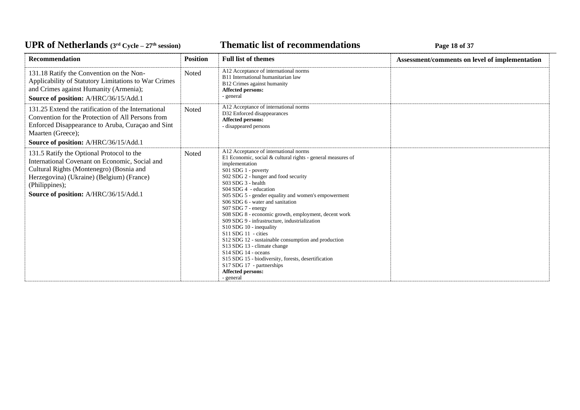### *C***ELE – <b>27 EXECUTE: CYCLE 27 EXECUTE: Page 18** of 37

| Recommendation                                                                                                                                                                                                                                  | <b>Position</b> | <b>Full list of themes</b>                                                                                                                                                                                                                                                                                                                                                                                                                                                                                                                                                                                                                                                                                                                                       | Assessment/comments on level of implementation |
|-------------------------------------------------------------------------------------------------------------------------------------------------------------------------------------------------------------------------------------------------|-----------------|------------------------------------------------------------------------------------------------------------------------------------------------------------------------------------------------------------------------------------------------------------------------------------------------------------------------------------------------------------------------------------------------------------------------------------------------------------------------------------------------------------------------------------------------------------------------------------------------------------------------------------------------------------------------------------------------------------------------------------------------------------------|------------------------------------------------|
| 131.18 Ratify the Convention on the Non-<br>Applicability of Statutory Limitations to War Crimes<br>and Crimes against Humanity (Armenia);<br>Source of position: A/HRC/36/15/Add.1                                                             | Noted           | A12 Acceptance of international norms<br>B11 International humanitarian law<br>B12 Crimes against humanity<br>Affected persons:<br>- general                                                                                                                                                                                                                                                                                                                                                                                                                                                                                                                                                                                                                     |                                                |
| 131.25 Extend the ratification of the International<br>Convention for the Protection of All Persons from<br>Enforced Disappearance to Aruba, Curaçao and Sint<br>Maarten (Greece);<br>Source of position: A/HRC/36/15/Add.1                     | <b>Noted</b>    | A12 Acceptance of international norms<br>D32 Enforced disappearances<br>Affected persons:<br>- disappeared persons                                                                                                                                                                                                                                                                                                                                                                                                                                                                                                                                                                                                                                               |                                                |
| 131.5 Ratify the Optional Protocol to the<br>International Covenant on Economic, Social and<br>Cultural Rights (Montenegro) (Bosnia and<br>Herzegovina) (Ukraine) (Belgium) (France)<br>(Philippines);<br>Source of position: A/HRC/36/15/Add.1 | <b>Noted</b>    | A12 Acceptance of international norms<br>E1 Economic, social $&$ cultural rights - general measures of<br>implementation<br>S01 SDG 1 - poverty<br>S02 SDG 2 - hunger and food security<br>S03 SDG 3 - health<br>$S04$ SDG 4 - education<br>S05 SDG 5 - gender equality and women's empowerment<br>S06 SDG 6 - water and sanitation<br>S07 SDG 7 - energy<br>S08 SDG 8 - economic growth, employment, decent work<br>S09 SDG 9 - infrastructure, industrialization<br>S10 SDG 10 - inequality<br>S11 SDG 11 - cities<br>S12 SDG 12 - sustainable consumption and production<br>S13 SDG 13 - climate change<br>$S14$ SDG 14 - oceans<br>S15 SDG 15 - biodiversity, forests, desertification<br>S17 SDG 17 - partnerships<br><b>Affected persons:</b><br>- general |                                                |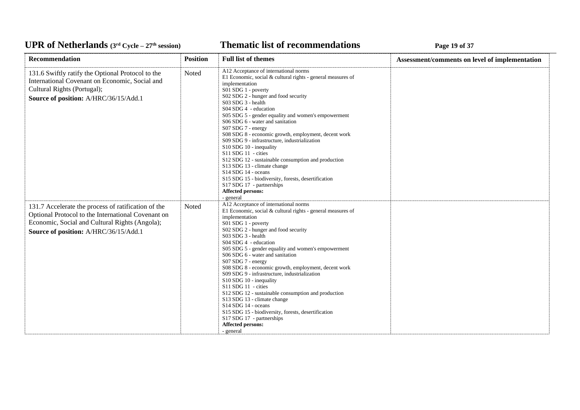### **Thematic list of recommendations Page 19** of 37

| Recommendation                                                                                                                                                                                       | <b>Position</b> | <b>Full list of themes</b>                                                                                                                                                                                                                                                                                                                                                                                                                                                                                                                                                                                                                                                                                                                                                 | Assessment/comments on level of implementation |
|------------------------------------------------------------------------------------------------------------------------------------------------------------------------------------------------------|-----------------|----------------------------------------------------------------------------------------------------------------------------------------------------------------------------------------------------------------------------------------------------------------------------------------------------------------------------------------------------------------------------------------------------------------------------------------------------------------------------------------------------------------------------------------------------------------------------------------------------------------------------------------------------------------------------------------------------------------------------------------------------------------------------|------------------------------------------------|
| 131.6 Swiftly ratify the Optional Protocol to the<br>International Covenant on Economic, Social and<br>Cultural Rights (Portugal);<br>Source of position: A/HRC/36/15/Add.1                          | Noted           | A12 Acceptance of international norms<br>E1 Economic, social & cultural rights - general measures of<br>implementation<br>S01 SDG 1 - poverty<br>S02 SDG 2 - hunger and food security<br>S03 SDG 3 - health<br>S04 SDG 4 - education<br>S05 SDG 5 - gender equality and women's empowerment<br>S06 SDG 6 - water and sanitation<br>S07 SDG 7 - energy<br>S08 SDG 8 - economic growth, employment, decent work<br>S09 SDG 9 - infrastructure, industrialization<br>S10 SDG 10 - inequality<br>S11 SDG 11 - cities<br>S12 SDG 12 - sustainable consumption and production<br>S13 SDG 13 - climate change<br>S <sub>14</sub> SDG <sub>14</sub> - oceans<br>S15 SDG 15 - biodiversity, forests, desertification<br>S17 SDG 17 - partnerships<br>Affected persons:<br>- general |                                                |
| 131.7 Accelerate the process of ratification of the<br>Optional Protocol to the International Covenant on<br>Economic, Social and Cultural Rights (Angola);<br>Source of position: A/HRC/36/15/Add.1 | Noted           | A12 Acceptance of international norms<br>E1 Economic, social $&$ cultural rights - general measures of<br>implementation<br>S01 SDG 1 - poverty<br>S02 SDG 2 - hunger and food security<br>S03 SDG 3 - health<br>S04 SDG 4 - education<br>S05 SDG 5 - gender equality and women's empowerment<br>S06 SDG 6 - water and sanitation<br>S07 SDG 7 - energy<br>S08 SDG 8 - economic growth, employment, decent work<br>S09 SDG 9 - infrastructure, industrialization<br>S10 SDG 10 - inequality<br>S11 SDG 11 - cities<br>S12 SDG 12 - sustainable consumption and production<br>S13 SDG 13 - climate change<br>S14 SDG 14 - oceans<br>S15 SDG 15 - biodiversity, forests, desertification<br>S17 SDG 17 - partnerships<br>Affected persons:<br>- general                      |                                                |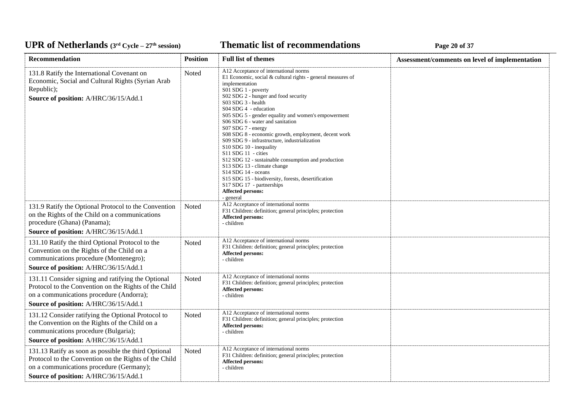#### *C***ELE <b>EXECUTE: CYCLE 20 CYCLE 20 Page 20 of 37**

| Recommendation                                                                                                                                                                                     | <b>Position</b> | <b>Full list of themes</b>                                                                                                                                                                                                                                                                                                                                                                                                                                                                                                                                                                                                                                                                                                                          | Assessment/comments on level of implementation |
|----------------------------------------------------------------------------------------------------------------------------------------------------------------------------------------------------|-----------------|-----------------------------------------------------------------------------------------------------------------------------------------------------------------------------------------------------------------------------------------------------------------------------------------------------------------------------------------------------------------------------------------------------------------------------------------------------------------------------------------------------------------------------------------------------------------------------------------------------------------------------------------------------------------------------------------------------------------------------------------------------|------------------------------------------------|
| 131.8 Ratify the International Covenant on<br>Economic, Social and Cultural Rights (Syrian Arab<br>Republic);<br>Source of position: A/HRC/36/15/Add.1                                             | Noted           | A12 Acceptance of international norms<br>E1 Economic, social & cultural rights - general measures of<br>implementation<br>S01 SDG 1 - poverty<br>S02 SDG 2 - hunger and food security<br>S03 SDG 3 - health<br>S04 SDG 4 - education<br>S05 SDG 5 - gender equality and women's empowerment<br>S06 SDG 6 - water and sanitation<br>S07 SDG 7 - energy<br>S08 SDG 8 - economic growth, employment, decent work<br>S09 SDG 9 - infrastructure, industrialization<br>S10 SDG 10 - inequality<br>S11 SDG 11 - cities<br>S12 SDG 12 - sustainable consumption and production<br>S13 SDG 13 - climate change<br>S14 SDG 14 - oceans<br>S15 SDG 15 - biodiversity, forests, desertification<br>S17 SDG 17 - partnerships<br>Affected persons:<br>- general |                                                |
| 131.9 Ratify the Optional Protocol to the Convention<br>on the Rights of the Child on a communications<br>procedure (Ghana) (Panama);<br>Source of position: A/HRC/36/15/Add.1                     | Noted           | A12 Acceptance of international norms<br>F31 Children: definition; general principles; protection<br><b>Affected persons:</b><br>- children                                                                                                                                                                                                                                                                                                                                                                                                                                                                                                                                                                                                         |                                                |
| 131.10 Ratify the third Optional Protocol to the<br>Convention on the Rights of the Child on a<br>communications procedure (Montenegro);<br>Source of position: A/HRC/36/15/Add.1                  | Noted           | A12 Acceptance of international norms<br>F31 Children: definition; general principles; protection<br><b>Affected persons:</b><br>- children                                                                                                                                                                                                                                                                                                                                                                                                                                                                                                                                                                                                         |                                                |
| 131.11 Consider signing and ratifying the Optional<br>Protocol to the Convention on the Rights of the Child<br>on a communications procedure (Andorra);<br>Source of position: A/HRC/36/15/Add.1   | Noted           | A12 Acceptance of international norms<br>F31 Children: definition; general principles; protection<br><b>Affected persons:</b><br>- children                                                                                                                                                                                                                                                                                                                                                                                                                                                                                                                                                                                                         |                                                |
| 131.12 Consider ratifying the Optional Protocol to<br>the Convention on the Rights of the Child on a<br>communications procedure (Bulgaria);<br>Source of position: A/HRC/36/15/Add.1              | Noted           | A12 Acceptance of international norms<br>F31 Children: definition; general principles; protection<br><b>Affected persons:</b><br>- children                                                                                                                                                                                                                                                                                                                                                                                                                                                                                                                                                                                                         |                                                |
| 131.13 Ratify as soon as possible the third Optional<br>Protocol to the Convention on the Rights of the Child<br>on a communications procedure (Germany);<br>Source of position: A/HRC/36/15/Add.1 | Noted           | A12 Acceptance of international norms<br>F31 Children: definition; general principles; protection<br><b>Affected persons:</b><br>- children                                                                                                                                                                                                                                                                                                                                                                                                                                                                                                                                                                                                         |                                                |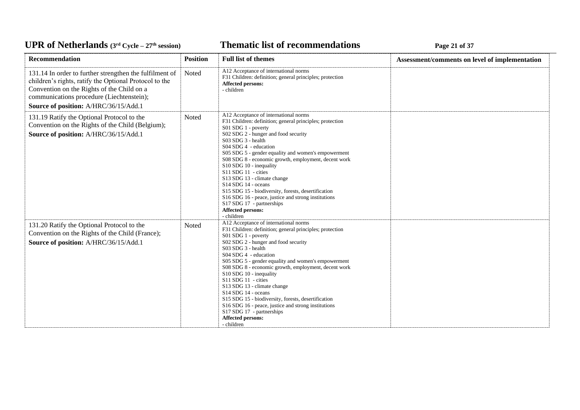### **Thematic list of recommendations Page 21 of 37**

| Recommendation                                                                                                                                                                                                                                        | <b>Position</b> | <b>Full list of themes</b>                                                                                                                                                                                                                                                                                                                                                                                                                                                                                                                                                                                                                                             | Assessment/comments on level of implementation |
|-------------------------------------------------------------------------------------------------------------------------------------------------------------------------------------------------------------------------------------------------------|-----------------|------------------------------------------------------------------------------------------------------------------------------------------------------------------------------------------------------------------------------------------------------------------------------------------------------------------------------------------------------------------------------------------------------------------------------------------------------------------------------------------------------------------------------------------------------------------------------------------------------------------------------------------------------------------------|------------------------------------------------|
| 131.14 In order to further strengthen the fulfilment of<br>children's rights, ratify the Optional Protocol to the<br>Convention on the Rights of the Child on a<br>communications procedure (Liechtenstein);<br>Source of position: A/HRC/36/15/Add.1 | Noted           | A12 Acceptance of international norms<br>F31 Children: definition; general principles; protection<br>Affected persons:<br>- children                                                                                                                                                                                                                                                                                                                                                                                                                                                                                                                                   |                                                |
| 131.19 Ratify the Optional Protocol to the<br>Convention on the Rights of the Child (Belgium);<br>Source of position: A/HRC/36/15/Add.1                                                                                                               | Noted           | A12 Acceptance of international norms<br>F31 Children: definition; general principles; protection<br>S01 SDG 1 - poverty<br>S02 SDG 2 - hunger and food security<br>S03 SDG 3 - health<br>S04 SDG 4 - education<br>S05 SDG 5 - gender equality and women's empowerment<br>S08 SDG 8 - economic growth, employment, decent work<br>S10 SDG 10 - inequality<br>S11 SDG 11 - cities<br>S13 SDG 13 - climate change<br>S <sub>14</sub> SDG <sub>14</sub> - oceans<br>S15 SDG 15 - biodiversity, forests, desertification<br>S16 SDG 16 - peace, justice and strong institutions<br>S17 SDG 17 - partnerships<br><b>Affected persons:</b><br>- children                     |                                                |
| 131.20 Ratify the Optional Protocol to the<br>Convention on the Rights of the Child (France);<br>Source of position: A/HRC/36/15/Add.1                                                                                                                | <b>Noted</b>    | A12 Acceptance of international norms<br>F31 Children: definition; general principles; protection<br>S01 SDG 1 - poverty<br>S02 SDG 2 - hunger and food security<br>$S03$ SDG $3$ - health<br>S04 SDG 4 - education<br>S05 SDG 5 - gender equality and women's empowerment<br>S08 SDG 8 - economic growth, employment, decent work<br>S10 SDG 10 - inequality<br>S11 SDG 11 - cities<br>S13 SDG 13 - climate change<br>S <sub>14</sub> SDG <sub>14</sub> - oceans<br>S15 SDG 15 - biodiversity, forests, desertification<br>S <sub>16</sub> SDG <sub>16</sub> - peace, justice and strong institutions<br>S17 SDG 17 - partnerships<br>Affected persons:<br>- children |                                                |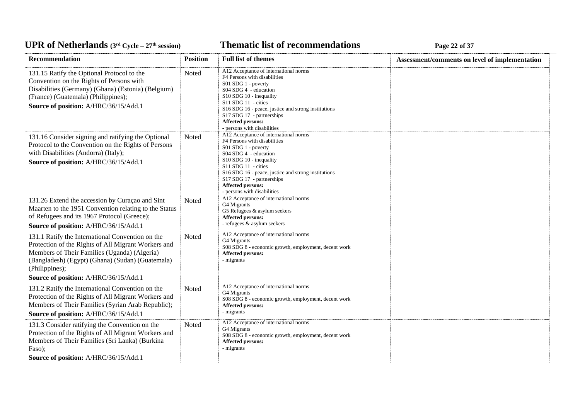### **Thematic list of recommendations Page 22 of 37**

| Recommendation                                                                                                                                                                                                                | <b>Position</b> | <b>Full list of themes</b>                                                                                                                                                                                                                                                                                        | Assessment/comments on level of implementation |
|-------------------------------------------------------------------------------------------------------------------------------------------------------------------------------------------------------------------------------|-----------------|-------------------------------------------------------------------------------------------------------------------------------------------------------------------------------------------------------------------------------------------------------------------------------------------------------------------|------------------------------------------------|
| 131.15 Ratify the Optional Protocol to the<br>Convention on the Rights of Persons with<br>Disabilities (Germany) (Ghana) (Estonia) (Belgium)<br>(France) (Guatemala) (Philippines);<br>Source of position: A/HRC/36/15/Add.1  | Noted           | A12 Acceptance of international norms<br>F4 Persons with disabilities<br>S01 SDG 1 - poverty<br>S04 SDG 4 - education<br>$S10$ SDG 10 - inequality<br>S11 SDG 11 - cities<br>S16 SDG 16 - peace, justice and strong institutions<br>S17 SDG 17 - partnerships<br>Affected persons:<br>- persons with disabilities |                                                |
| 131.16 Consider signing and ratifying the Optional<br>Protocol to the Convention on the Rights of Persons<br>with Disabilities (Andorra) (Italy);<br>Source of position: A/HRC/36/15/Add.1                                    | Noted           | A12 Acceptance of international norms<br>F4 Persons with disabilities<br>S01 SDG 1 - poverty<br>S04 SDG 4 - education<br>S10 SDG 10 - inequality<br>S11 SDG 11 - cities<br>S16 SDG 16 - peace, justice and strong institutions<br>S17 SDG 17 - partnerships<br>Affected persons:<br>- persons with disabilities   |                                                |
| 131.26 Extend the accession by Curaçao and Sint<br>Maarten to the 1951 Convention relating to the Status<br>of Refugees and its 1967 Protocol (Greece);<br>Source of position: A/HRC/36/15/Add.1                              | Noted           | A12 Acceptance of international norms<br>G4 Migrants<br>G5 Refugees & asylum seekers<br><b>Affected persons:</b><br>- refugees & asylum seekers                                                                                                                                                                   |                                                |
| 131.1 Ratify the International Convention on the<br>Protection of the Rights of All Migrant Workers and<br>Members of Their Families (Uganda) (Algeria)<br>(Bangladesh) (Egypt) (Ghana) (Sudan) (Guatemala)<br>(Philippines); | Noted           | A12 Acceptance of international norms<br>G4 Migrants<br>S08 SDG 8 - economic growth, employment, decent work<br>Affected persons:<br>- migrants                                                                                                                                                                   |                                                |
| Source of position: A/HRC/36/15/Add.1                                                                                                                                                                                         |                 |                                                                                                                                                                                                                                                                                                                   |                                                |
| 131.2 Ratify the International Convention on the<br>Protection of the Rights of All Migrant Workers and<br>Members of Their Families (Syrian Arab Republic);<br>Source of position: A/HRC/36/15/Add.1                         | Noted           | A12 Acceptance of international norms<br>G4 Migrants<br>S08 SDG 8 - economic growth, employment, decent work<br>Affected persons:<br>- migrants                                                                                                                                                                   |                                                |
| 131.3 Consider ratifying the Convention on the<br>Protection of the Rights of All Migrant Workers and<br>Members of Their Families (Sri Lanka) (Burkina<br>Faso);<br>Source of position: A/HRC/36/15/Add.1                    | Noted           | A12 Acceptance of international norms<br>G4 Migrants<br>S08 SDG 8 - economic growth, employment, decent work<br>Affected persons:<br>- migrants                                                                                                                                                                   |                                                |
|                                                                                                                                                                                                                               |                 |                                                                                                                                                                                                                                                                                                                   |                                                |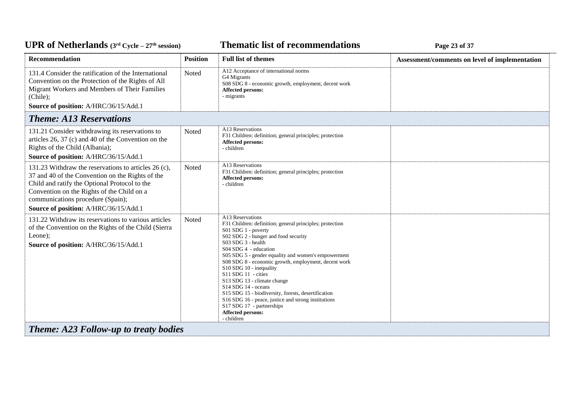### **Thematic list of recommendations Page 23** of 37

| Recommendation                                                                                                                                                                                                                                                                        | <b>Position</b> | <b>Full list of themes</b>                                                                                                                                                                                                                                                                                                                                                                                                                                                                                                                                                                                             | Assessment/comments on level of implementation |
|---------------------------------------------------------------------------------------------------------------------------------------------------------------------------------------------------------------------------------------------------------------------------------------|-----------------|------------------------------------------------------------------------------------------------------------------------------------------------------------------------------------------------------------------------------------------------------------------------------------------------------------------------------------------------------------------------------------------------------------------------------------------------------------------------------------------------------------------------------------------------------------------------------------------------------------------------|------------------------------------------------|
| 131.4 Consider the ratification of the International<br>Convention on the Protection of the Rights of All<br>Migrant Workers and Members of Their Families<br>(Chile);<br>Source of position: A/HRC/36/15/Add.1                                                                       | Noted           | A12 Acceptance of international norms<br>G4 Migrants<br>S08 SDG 8 - economic growth, employment, decent work<br><b>Affected persons:</b><br>- migrants                                                                                                                                                                                                                                                                                                                                                                                                                                                                 |                                                |
| <b>Theme: A13 Reservations</b>                                                                                                                                                                                                                                                        |                 |                                                                                                                                                                                                                                                                                                                                                                                                                                                                                                                                                                                                                        |                                                |
| 131.21 Consider withdrawing its reservations to<br>articles 26, 37 (c) and 40 of the Convention on the<br>Rights of the Child (Albania);<br>Source of position: A/HRC/36/15/Add.1                                                                                                     | Noted           | A13 Reservations<br>F31 Children: definition; general principles; protection<br><b>Affected persons:</b><br>- children                                                                                                                                                                                                                                                                                                                                                                                                                                                                                                 |                                                |
| 131.23 Withdraw the reservations to articles 26 (c),<br>37 and 40 of the Convention on the Rights of the<br>Child and ratify the Optional Protocol to the<br>Convention on the Rights of the Child on a<br>communications procedure (Spain);<br>Source of position: A/HRC/36/15/Add.1 | Noted           | A13 Reservations<br>F31 Children: definition; general principles; protection<br><b>Affected persons:</b><br>- children                                                                                                                                                                                                                                                                                                                                                                                                                                                                                                 |                                                |
| 131.22 Withdraw its reservations to various articles<br>of the Convention on the Rights of the Child (Sierra<br>Leone):<br>Source of position: A/HRC/36/15/Add.1                                                                                                                      | Noted           | A13 Reservations<br>F31 Children: definition; general principles; protection<br>S01 SDG 1 - poverty<br>S02 SDG 2 - hunger and food security<br>S03 SDG 3 - health<br>S04 SDG 4 - education<br>S05 SDG 5 - gender equality and women's empowerment<br>S08 SDG 8 - economic growth, employment, decent work<br>S10 SDG 10 - inequality<br>S11 SDG 11 - cities<br>S13 SDG 13 - climate change<br>S <sub>14</sub> SDG <sub>14</sub> - oceans<br>S15 SDG 15 - biodiversity, forests, desertification<br>S16 SDG 16 - peace, justice and strong institutions<br>S17 SDG 17 - partnerships<br>Affected persons:<br>- children |                                                |
| <b>Theme: A23 Follow-up to treaty bodies</b>                                                                                                                                                                                                                                          |                 |                                                                                                                                                                                                                                                                                                                                                                                                                                                                                                                                                                                                                        |                                                |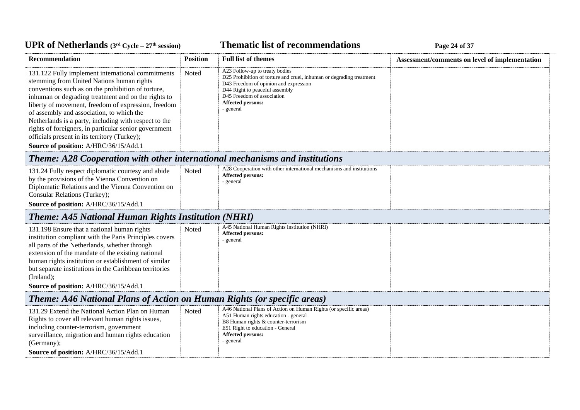### **Thematic list of recommendations Page 24 of 37**

| Recommendation                                                                                                                                                                                                                                                                                                                                                                                                                                                                                                             | <b>Position</b> | <b>Full list of themes</b>                                                                                                                                                                                                                               | Assessment/comments on level of implementation |  |  |
|----------------------------------------------------------------------------------------------------------------------------------------------------------------------------------------------------------------------------------------------------------------------------------------------------------------------------------------------------------------------------------------------------------------------------------------------------------------------------------------------------------------------------|-----------------|----------------------------------------------------------------------------------------------------------------------------------------------------------------------------------------------------------------------------------------------------------|------------------------------------------------|--|--|
| 131.122 Fully implement international commitments<br>stemming from United Nations human rights<br>conventions such as on the prohibition of torture,<br>inhuman or degrading treatment and on the rights to<br>liberty of movement, freedom of expression, freedom<br>of assembly and association, to which the<br>Netherlands is a party, including with respect to the<br>rights of foreigners, in particular senior government<br>officials present in its territory (Turkey);<br>Source of position: A/HRC/36/15/Add.1 | Noted           | A23 Follow-up to treaty bodies<br>D25 Prohibition of torture and cruel, inhuman or degrading treatment<br>D43 Freedom of opinion and expression<br>D44 Right to peaceful assembly<br>D45 Freedom of association<br><b>Affected persons:</b><br>- general |                                                |  |  |
| <b>Theme: A28 Cooperation with other international mechanisms and institutions</b>                                                                                                                                                                                                                                                                                                                                                                                                                                         |                 |                                                                                                                                                                                                                                                          |                                                |  |  |
| 131.24 Fully respect diplomatic courtesy and abide<br>by the provisions of the Vienna Convention on<br>Diplomatic Relations and the Vienna Convention on<br>Consular Relations (Turkey);<br>Source of position: A/HRC/36/15/Add.1                                                                                                                                                                                                                                                                                          | Noted           | A28 Cooperation with other international mechanisms and institutions<br><b>Affected persons:</b><br>- general                                                                                                                                            |                                                |  |  |
| <b>Theme: A45 National Human Rights Institution (NHRI)</b>                                                                                                                                                                                                                                                                                                                                                                                                                                                                 |                 |                                                                                                                                                                                                                                                          |                                                |  |  |
| 131.198 Ensure that a national human rights<br>institution compliant with the Paris Principles covers<br>all parts of the Netherlands, whether through<br>extension of the mandate of the existing national<br>human rights institution or establishment of similar<br>but separate institutions in the Caribbean territories<br>(Ireland);<br>Source of position: A/HRC/36/15/Add.1                                                                                                                                       | Noted           | A45 National Human Rights Institution (NHRI)<br>Affected persons:<br>- general                                                                                                                                                                           |                                                |  |  |
| <b>Theme: A46 National Plans of Action on Human Rights (or specific areas)</b>                                                                                                                                                                                                                                                                                                                                                                                                                                             |                 |                                                                                                                                                                                                                                                          |                                                |  |  |
| 131.29 Extend the National Action Plan on Human<br>Rights to cover all relevant human rights issues,<br>including counter-terrorism, government<br>surveillance, migration and human rights education<br>(Germany);<br>Source of position: A/HRC/36/15/Add.1                                                                                                                                                                                                                                                               | Noted           | A46 National Plans of Action on Human Rights (or specific areas)<br>A51 Human rights education - general<br>B8 Human rights & counter-terrorism<br>E51 Right to education - General<br>Affected persons:<br>- general                                    |                                                |  |  |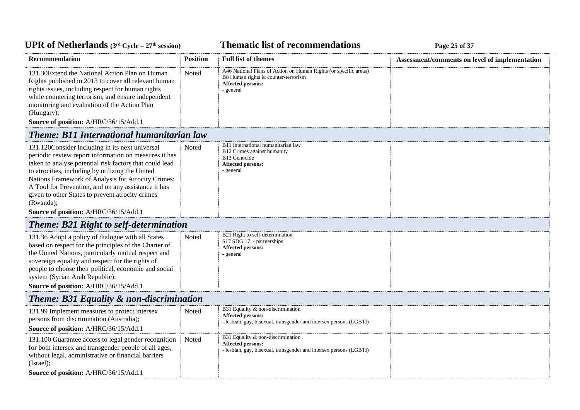### **Thematic list of recommendations Page 25** of 37

| <b>Recommendation</b>                                                                                                                                                                                                                                                                                                                                                                                                                          | <b>Position</b> | <b>Full list of themes</b>                                                                                                                | Assessment/comments on level of implementation |  |
|------------------------------------------------------------------------------------------------------------------------------------------------------------------------------------------------------------------------------------------------------------------------------------------------------------------------------------------------------------------------------------------------------------------------------------------------|-----------------|-------------------------------------------------------------------------------------------------------------------------------------------|------------------------------------------------|--|
| 131.30 Extend the National Action Plan on Human<br>Rights published in 2013 to cover all relevant human<br>rights issues, including respect for human rights<br>while countering terrorism, and ensure independent<br>monitoring and evaluation of the Action Plan<br>(Hungary);<br>Source of position: A/HRC/36/15/Add.1                                                                                                                      | Noted           | A46 National Plans of Action on Human Rights (or specific areas)<br>B8 Human rights & counter-terrorism<br>Affected persons:<br>- general |                                                |  |
| <b>Theme: B11 International humanitarian law</b>                                                                                                                                                                                                                                                                                                                                                                                               |                 |                                                                                                                                           |                                                |  |
| 131.120Consider including in its next universal<br>periodic review report information on measures it has<br>taken to analyse potential risk factors that could lead<br>to atrocities, including by utilizing the United<br>Nations Framework of Analysis for Atrocity Crimes:<br>A Tool for Prevention, and on any assistance it has<br>given to other States to prevent atrocity crimes<br>(Rwanda);<br>Source of position: A/HRC/36/15/Add.1 | Noted           | B11 International humanitarian law<br>B12 Crimes against humanity<br>B13 Genocide<br><b>Affected persons:</b><br>- general                |                                                |  |
| <b>Theme: B21 Right to self-determination</b>                                                                                                                                                                                                                                                                                                                                                                                                  |                 |                                                                                                                                           |                                                |  |
| 131.36 Adopt a policy of dialogue with all States<br>based on respect for the principles of the Charter of<br>the United Nations, particularly mutual respect and<br>sovereign equality and respect for the rights of<br>people to choose their political, economic and social<br>system (Syrian Arab Republic);<br>Source of position: A/HRC/36/15/Add.1                                                                                      | Noted           | B21 Right to self-determination<br>S17 SDG 17 - partnerships<br>Affected persons:<br>- general                                            |                                                |  |
| <b>Theme: B31 Equality &amp; non-discrimination</b>                                                                                                                                                                                                                                                                                                                                                                                            |                 |                                                                                                                                           |                                                |  |
| 131.99 Implement measures to protect intersex<br>persons from discrimination (Australia);<br>Source of position: A/HRC/36/15/Add.1                                                                                                                                                                                                                                                                                                             | Noted           | B31 Equality & non-discrimination<br>Affected persons:<br>- lesbian, gay, bisexual, transgender and intersex persons (LGBTI)              |                                                |  |
| 131.100 Guarantee access to legal gender recognition<br>for both intersex and transgender people of all ages,<br>without legal, administrative or financial barriers<br>(Israel);                                                                                                                                                                                                                                                              | Noted           | B31 Equality & non-discrimination<br><b>Affected persons:</b><br>- lesbian, gay, bisexual, transgender and intersex persons (LGBTI)       |                                                |  |
| Source of position: A/HRC/36/15/Add.1                                                                                                                                                                                                                                                                                                                                                                                                          |                 |                                                                                                                                           |                                                |  |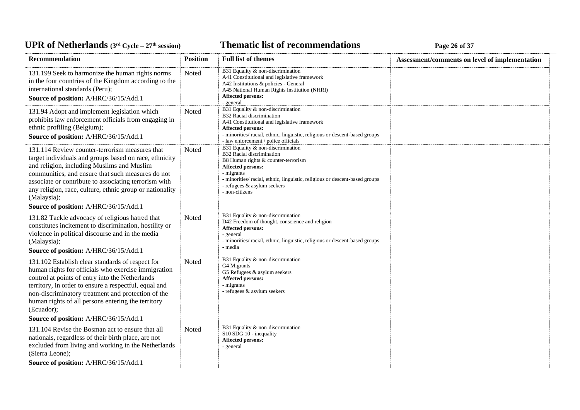### **Thematic list of recommendations Page 26** of 37

| Recommendation                                                                                                                                                                                                                                                                                                                                                                           | <b>Position</b> | <b>Full list of themes</b>                                                                                                                                                                                                                                                      | Assessment/comments on level of implementation |
|------------------------------------------------------------------------------------------------------------------------------------------------------------------------------------------------------------------------------------------------------------------------------------------------------------------------------------------------------------------------------------------|-----------------|---------------------------------------------------------------------------------------------------------------------------------------------------------------------------------------------------------------------------------------------------------------------------------|------------------------------------------------|
| 131.199 Seek to harmonize the human rights norms<br>in the four countries of the Kingdom according to the<br>international standards (Peru);<br>Source of position: A/HRC/36/15/Add.1                                                                                                                                                                                                    | Noted           | B31 Equality $\&$ non-discrimination<br>A41 Constitutional and legislative framework<br>A42 Institutions & policies - General<br>A45 National Human Rights Institution (NHRI)<br>Affected persons:<br>- general                                                                 |                                                |
| 131.94 Adopt and implement legislation which<br>prohibits law enforcement officials from engaging in<br>ethnic profiling (Belgium);<br>Source of position: A/HRC/36/15/Add.1                                                                                                                                                                                                             | Noted           | B31 Equality & non-discrimination<br>B32 Racial discrimination<br>A41 Constitutional and legislative framework<br><b>Affected persons:</b><br>- minorities/racial, ethnic, linguistic, religious or descent-based groups<br>- law enforcement / police officials                |                                                |
| 131.114 Review counter-terrorism measures that<br>target individuals and groups based on race, ethnicity<br>and religion, including Muslims and Muslim<br>communities, and ensure that such measures do not<br>associate or contribute to associating terrorism with<br>any religion, race, culture, ethnic group or nationality<br>(Malaysia);<br>Source of position: A/HRC/36/15/Add.1 | Noted           | B31 Equality & non-discrimination<br>B32 Racial discrimination<br>B8 Human rights & counter-terrorism<br><b>Affected persons:</b><br>- migrants<br>- minorities/ racial, ethnic, linguistic, religious or descent-based groups<br>- refugees & asylum seekers<br>- non-citizens |                                                |
| 131.82 Tackle advocacy of religious hatred that<br>constitutes incitement to discrimination, hostility or<br>violence in political discourse and in the media<br>(Malaysia);<br>Source of position: A/HRC/36/15/Add.1                                                                                                                                                                    | Noted           | B31 Equality & non-discrimination<br>D42 Freedom of thought, conscience and religion<br><b>Affected persons:</b><br>- general<br>- minorities/ racial, ethnic, linguistic, religious or descent-based groups<br>- media                                                         |                                                |
| 131.102 Establish clear standards of respect for<br>human rights for officials who exercise immigration<br>control at points of entry into the Netherlands<br>territory, in order to ensure a respectful, equal and<br>non-discriminatory treatment and protection of the<br>human rights of all persons entering the territory<br>(Ecuador);                                            | Noted           | B31 Equality & non-discrimination<br>G4 Migrants<br>G5 Refugees & asylum seekers<br>Affected persons:<br>- migrants<br>- refugees & asylum seekers                                                                                                                              |                                                |
| Source of position: A/HRC/36/15/Add.1                                                                                                                                                                                                                                                                                                                                                    |                 |                                                                                                                                                                                                                                                                                 |                                                |
| 131.104 Revise the Bosman act to ensure that all<br>nationals, regardless of their birth place, are not<br>excluded from living and working in the Netherlands<br>(Sierra Leone);<br>Source of position: A/HRC/36/15/Add.1                                                                                                                                                               | Noted           | B31 Equality & non-discrimination<br>S10 SDG 10 - inequality<br><b>Affected persons:</b><br>- general                                                                                                                                                                           |                                                |
|                                                                                                                                                                                                                                                                                                                                                                                          |                 |                                                                                                                                                                                                                                                                                 |                                                |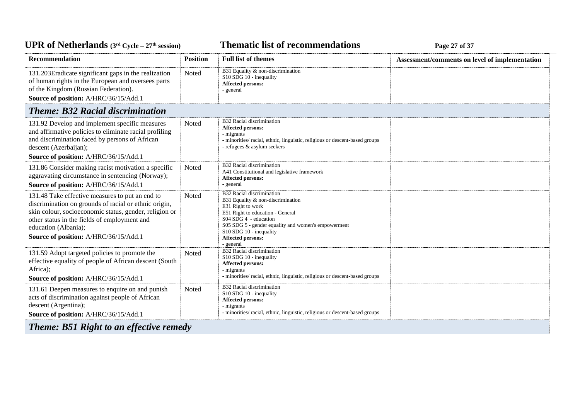### **Thematic list of recommendations Page 27** of 37

| <b>Recommendation</b>                                                                                                                                                                                                                                                               | <b>Position</b> | <b>Full list of themes</b>                                                                                                                                                                                                                                                  | Assessment/comments on level of implementation |  |
|-------------------------------------------------------------------------------------------------------------------------------------------------------------------------------------------------------------------------------------------------------------------------------------|-----------------|-----------------------------------------------------------------------------------------------------------------------------------------------------------------------------------------------------------------------------------------------------------------------------|------------------------------------------------|--|
| 131.203Eradicate significant gaps in the realization<br>of human rights in the European and oversees parts<br>of the Kingdom (Russian Federation).<br>Source of position: A/HRC/36/15/Add.1                                                                                         | Noted           | B31 Equality & non-discrimination<br>S10 SDG 10 - inequality<br><b>Affected persons:</b><br>- general                                                                                                                                                                       |                                                |  |
| <b>Theme: B32 Racial discrimination</b>                                                                                                                                                                                                                                             |                 |                                                                                                                                                                                                                                                                             |                                                |  |
| 131.92 Develop and implement specific measures<br>and affirmative policies to eliminate racial profiling<br>and discrimination faced by persons of African<br>descent (Azerbaijan);<br>Source of position: A/HRC/36/15/Add.1                                                        | Noted           | B32 Racial discrimination<br><b>Affected persons:</b><br>- migrants<br>- minorities/ racial, ethnic, linguistic, religious or descent-based groups<br>- refugees & asylum seekers                                                                                           |                                                |  |
| 131.86 Consider making racist motivation a specific<br>aggravating circumstance in sentencing (Norway);<br>Source of position: A/HRC/36/15/Add.1                                                                                                                                    | Noted           | B32 Racial discrimination<br>A41 Constitutional and legislative framework<br><b>Affected persons:</b><br>- general                                                                                                                                                          |                                                |  |
| 131.48 Take effective measures to put an end to<br>discrimination on grounds of racial or ethnic origin,<br>skin colour, socioeconomic status, gender, religion or<br>other status in the fields of employment and<br>education (Albania);<br>Source of position: A/HRC/36/15/Add.1 | Noted           | B32 Racial discrimination<br>B31 Equality & non-discrimination<br>E31 Right to work<br>E51 Right to education - General<br>S04 SDG 4 - education<br>S05 SDG 5 - gender equality and women's empowerment<br>S10 SDG 10 - inequality<br><b>Affected persons:</b><br>- general |                                                |  |
| 131.59 Adopt targeted policies to promote the<br>effective equality of people of African descent (South<br>Africa);<br>Source of position: A/HRC/36/15/Add.1                                                                                                                        | Noted           | B32 Racial discrimination<br>S10 SDG 10 - inequality<br><b>Affected persons:</b><br>- migrants<br>- minorities/ racial, ethnic, linguistic, religious or descent-based groups                                                                                               |                                                |  |
| 131.61 Deepen measures to enquire on and punish<br>acts of discrimination against people of African<br>descent (Argentina);<br>Source of position: A/HRC/36/15/Add.1                                                                                                                | <b>Noted</b>    | B32 Racial discrimination<br>S10 SDG 10 - inequality<br><b>Affected persons:</b><br>- migrants<br>- minorities/ racial, ethnic, linguistic, religious or descent-based groups                                                                                               |                                                |  |
| <b>Theme: B51 Right to an effective remedy</b>                                                                                                                                                                                                                                      |                 |                                                                                                                                                                                                                                                                             |                                                |  |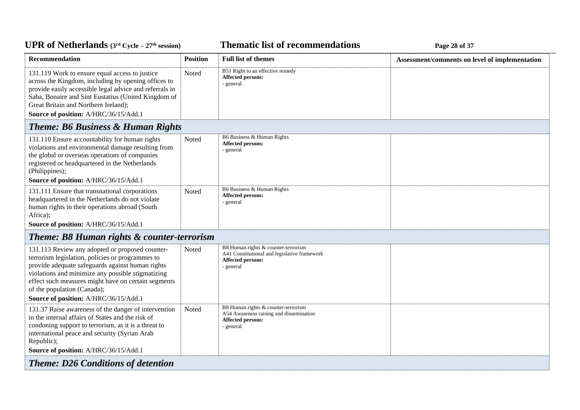### **Thematic list of recommendations Page 28** of 37

| Recommendation                                                                                                                                                                                                                                                                                                                              | <b>Position</b> | <b>Full list of themes</b>                                                                                                   | Assessment/comments on level of implementation |
|---------------------------------------------------------------------------------------------------------------------------------------------------------------------------------------------------------------------------------------------------------------------------------------------------------------------------------------------|-----------------|------------------------------------------------------------------------------------------------------------------------------|------------------------------------------------|
| 131.119 Work to ensure equal access to justice<br>across the Kingdom, including by opening offices to<br>provide easily accessible legal advice and referrals in<br>Saba, Bonaire and Sint Eustatius (United Kingdom of<br>Great Britain and Northern Ireland);<br>Source of position: A/HRC/36/15/Add.1                                    | Noted           | B51 Right to an effective remedy<br>Affected persons:<br>- general                                                           |                                                |
| <b>Theme: B6 Business &amp; Human Rights</b>                                                                                                                                                                                                                                                                                                |                 |                                                                                                                              |                                                |
| 131.110 Ensure accountability for human rights<br>violations and environmental damage resulting from<br>the global or overseas operations of companies<br>registered or headquartered in the Netherlands<br>(Philippines);<br>Source of position: A/HRC/36/15/Add.1                                                                         | Noted           | B6 Business & Human Rights<br>Affected persons:<br>- general                                                                 |                                                |
|                                                                                                                                                                                                                                                                                                                                             |                 | B6 Business & Human Rights                                                                                                   |                                                |
| 131.111 Ensure that transnational corporations<br>headquartered in the Netherlands do not violate<br>human rights in their operations abroad (South<br>Africa);                                                                                                                                                                             | Noted           | Affected persons:<br>- general                                                                                               |                                                |
| Source of position: A/HRC/36/15/Add.1                                                                                                                                                                                                                                                                                                       |                 |                                                                                                                              |                                                |
| Theme: B8 Human rights & counter-terrorism                                                                                                                                                                                                                                                                                                  |                 |                                                                                                                              |                                                |
| 131.113 Review any adopted or proposed counter-<br>terrorism legislation, policies or programmes to<br>provide adequate safeguards against human rights<br>violations and minimize any possible stigmatizing<br>effect such measures might have on certain segments<br>of the population (Canada);<br>Source of position: A/HRC/36/15/Add.1 | Noted           | B8 Human rights & counter-terrorism<br>A41 Constitutional and legislative framework<br><b>Affected persons:</b><br>- general |                                                |
| 131.37 Raise awareness of the danger of intervention<br>in the internal affairs of States and the risk of<br>condoning support to terrorism, as it is a threat to<br>international peace and security (Syrian Arab<br>Republic);<br>Source of position: A/HRC/36/15/Add.1                                                                   | Noted           | B8 Human rights & counter-terrorism<br>A54 Awareness raising and dissemination<br><b>Affected persons:</b><br>- general      |                                                |
| <b>Theme: D26 Conditions of detention</b>                                                                                                                                                                                                                                                                                                   |                 |                                                                                                                              |                                                |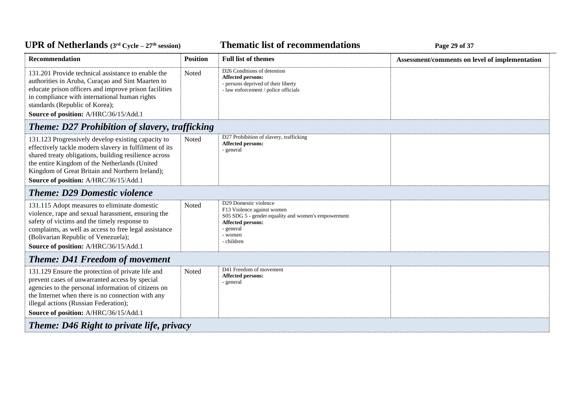### *C***ELE <b>EXECUTE: CYCLE 29 CHECK CYCLE 29 CHECK Page 29 of 37**

| <b>Recommendation</b>                                                                                                                                                                                                                                                                                              | <b>Position</b> | <b>Full list of themes</b>                                                                                                                                            | Assessment/comments on level of implementation |  |
|--------------------------------------------------------------------------------------------------------------------------------------------------------------------------------------------------------------------------------------------------------------------------------------------------------------------|-----------------|-----------------------------------------------------------------------------------------------------------------------------------------------------------------------|------------------------------------------------|--|
| 131.201 Provide technical assistance to enable the<br>authorities in Aruba, Curaçao and Sint Maarten to<br>educate prison officers and improve prison facilities<br>in compliance with international human rights<br>standards (Republic of Korea);                                                                | Noted           | D <sub>26</sub> Conditions of detention<br><b>Affected persons:</b><br>- persons deprived of their liberty<br>- law enforcement / police officials                    |                                                |  |
| Source of position: A/HRC/36/15/Add.1                                                                                                                                                                                                                                                                              |                 |                                                                                                                                                                       |                                                |  |
| Theme: D27 Prohibition of slavery, trafficking                                                                                                                                                                                                                                                                     |                 |                                                                                                                                                                       |                                                |  |
| 131.123 Progressively develop existing capacity to<br>effectively tackle modern slavery in fulfilment of its<br>shared treaty obligations, building resilience across<br>the entire Kingdom of the Netherlands (United<br>Kingdom of Great Britain and Northern Ireland);<br>Source of position: A/HRC/36/15/Add.1 | Noted           | D27 Prohibition of slavery, trafficking<br>Affected persons:<br>- general                                                                                             |                                                |  |
| <b>Theme: D29 Domestic violence</b>                                                                                                                                                                                                                                                                                |                 |                                                                                                                                                                       |                                                |  |
| 131.115 Adopt measures to eliminate domestic<br>violence, rape and sexual harassment, ensuring the<br>safety of victims and the timely response to<br>complaints, as well as access to free legal assistance<br>(Bolivarian Republic of Venezuela);<br>Source of position: A/HRC/36/15/Add.1                       | Noted           | D29 Domestic violence<br>F13 Violence against women<br>S05 SDG 5 - gender equality and women's empowerment<br>Affected persons:<br>- general<br>- women<br>- children |                                                |  |
| <b>Theme: D41 Freedom of movement</b>                                                                                                                                                                                                                                                                              |                 |                                                                                                                                                                       |                                                |  |
| 131.129 Ensure the protection of private life and<br>prevent cases of unwarranted access by special<br>agencies to the personal information of citizens on<br>the Internet when there is no connection with any<br>illegal actions (Russian Federation);<br>Source of position: A/HRC/36/15/Add.1                  | Noted           | D41 Freedom of movement<br>Affected persons:<br>- general                                                                                                             |                                                |  |
| <b>Theme: D46 Right to private life, privacy</b>                                                                                                                                                                                                                                                                   |                 |                                                                                                                                                                       |                                                |  |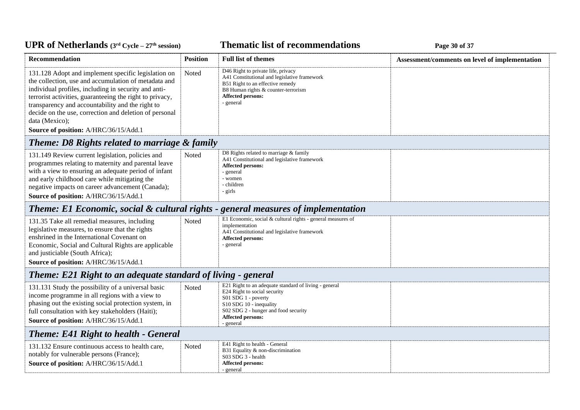### *C***ELE – <b>27 EXECUTE: CYCLE 20 CYCLE 20 Page 30** of 37

| <b>Recommendation</b>                                                                                                                                                                                                                                                                                                                                                                                    | <b>Position</b> | <b>Full list of themes</b>                                                                                                                                                                                               | Assessment/comments on level of implementation |
|----------------------------------------------------------------------------------------------------------------------------------------------------------------------------------------------------------------------------------------------------------------------------------------------------------------------------------------------------------------------------------------------------------|-----------------|--------------------------------------------------------------------------------------------------------------------------------------------------------------------------------------------------------------------------|------------------------------------------------|
| 131.128 Adopt and implement specific legislation on<br>the collection, use and accumulation of metadata and<br>individual profiles, including in security and anti-<br>terrorist activities, guaranteeing the right to privacy,<br>transparency and accountability and the right to<br>decide on the use, correction and deletion of personal<br>data (Mexico);<br>Source of position: A/HRC/36/15/Add.1 | Noted           | D46 Right to private life, privacy<br>A41 Constitutional and legislative framework<br>B51 Right to an effective remedy<br>B8 Human rights & counter-terrorism<br>Affected persons:<br>- general                          |                                                |
| Theme: D8 Rights related to marriage & family                                                                                                                                                                                                                                                                                                                                                            |                 |                                                                                                                                                                                                                          |                                                |
| 131.149 Review current legislation, policies and<br>programmes relating to maternity and parental leave<br>with a view to ensuring an adequate period of infant<br>and early childhood care while mitigating the<br>negative impacts on career advancement (Canada);<br>Source of position: A/HRC/36/15/Add.1                                                                                            | Noted           | D8 Rights related to marriage & family<br>A41 Constitutional and legislative framework<br><b>Affected persons:</b><br>- general<br>- women<br>- children<br>- girls                                                      |                                                |
| <b>Theme: E1 Economic, social &amp; cultural rights - general measures of implementation</b>                                                                                                                                                                                                                                                                                                             |                 |                                                                                                                                                                                                                          |                                                |
| 131.35 Take all remedial measures, including<br>legislative measures, to ensure that the rights<br>enshrined in the International Covenant on<br>Economic, Social and Cultural Rights are applicable<br>and justiciable (South Africa);<br>Source of position: A/HRC/36/15/Add.1                                                                                                                         | Noted           | E1 Economic, social & cultural rights - general measures of<br>implementation<br>A41 Constitutional and legislative framework<br><b>Affected persons:</b><br>- general                                                   |                                                |
| Theme: E21 Right to an adequate standard of living - general                                                                                                                                                                                                                                                                                                                                             |                 |                                                                                                                                                                                                                          |                                                |
| 131.131 Study the possibility of a universal basic<br>income programme in all regions with a view to<br>phasing out the existing social protection system, in<br>full consultation with key stakeholders (Haiti);<br>Source of position: A/HRC/36/15/Add.1                                                                                                                                               | Noted           | E21 Right to an adequate standard of living - general<br>E24 Right to social security<br>S01 SDG 1 - poverty<br>S10 SDG 10 - inequality<br>S02 SDG 2 - hunger and food security<br><b>Affected persons:</b><br>- general |                                                |
| <b>Theme: E41 Right to health - General</b>                                                                                                                                                                                                                                                                                                                                                              |                 |                                                                                                                                                                                                                          |                                                |
| 131.132 Ensure continuous access to health care,<br>notably for vulnerable persons (France);<br>Source of position: A/HRC/36/15/Add.1                                                                                                                                                                                                                                                                    | Noted           | E41 Right to health - General<br>B31 Equality & non-discrimination<br>S03 SDG 3 - health<br><b>Affected persons:</b><br>- general                                                                                        |                                                |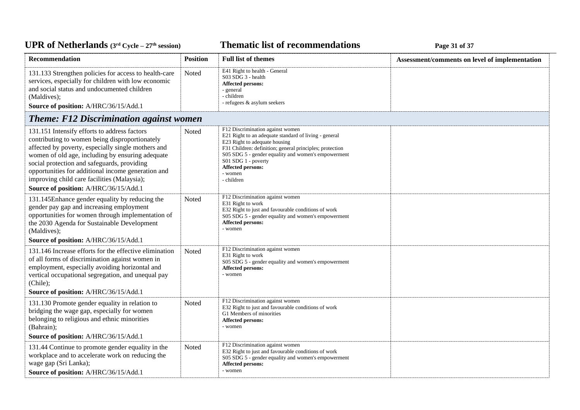#### *C***ELE <b>EXECUTE: CYCLE 27E 27E 27E 27E 27E 27E** 27**P** 28**E** 27**P** 28**E** 27**P** 28**E** 27**P** 28**E** 27**P** 28**E** 27**P** 28**E** 27**P** 28**E** 27**P** 28**E** 27**P** 28**E** 27**P** 28**E** 27**P** 28**E** 27**P** 28**E** 27**P** 28**E** 27

| Recommendation                                                                                                                                                                                                                                                                                                                                                                                        | <b>Position</b> | <b>Full list of themes</b>                                                                                                                                                                                                                                                                                         | Assessment/comments on level of implementation |
|-------------------------------------------------------------------------------------------------------------------------------------------------------------------------------------------------------------------------------------------------------------------------------------------------------------------------------------------------------------------------------------------------------|-----------------|--------------------------------------------------------------------------------------------------------------------------------------------------------------------------------------------------------------------------------------------------------------------------------------------------------------------|------------------------------------------------|
| 131.133 Strengthen policies for access to health-care<br>services, especially for children with low economic<br>and social status and undocumented children<br>(Maldives);<br>Source of position: A/HRC/36/15/Add.1                                                                                                                                                                                   | Noted           | E41 Right to health - General<br>S03 SDG 3 - health<br>Affected persons:<br>- general<br>- children<br>- refugees & asylum seekers                                                                                                                                                                                 |                                                |
| <b>Theme: F12 Discrimination against women</b>                                                                                                                                                                                                                                                                                                                                                        |                 |                                                                                                                                                                                                                                                                                                                    |                                                |
| 131.151 Intensify efforts to address factors<br>contributing to women being disproportionately<br>affected by poverty, especially single mothers and<br>women of old age, including by ensuring adequate<br>social protection and safeguards, providing<br>opportunities for additional income generation and<br>improving child care facilities (Malaysia);<br>Source of position: A/HRC/36/15/Add.1 | Noted           | F12 Discrimination against women<br>E21 Right to an adequate standard of living - general<br>E23 Right to adequate housing<br>F31 Children: definition; general principles; protection<br>S05 SDG 5 - gender equality and women's empowerment<br>S01 SDG 1 - poverty<br>Affected persons:<br>- women<br>- children |                                                |
| 131.145Enhance gender equality by reducing the<br>gender pay gap and increasing employment<br>opportunities for women through implementation of<br>the 2030 Agenda for Sustainable Development<br>(Maldives);<br>Source of position: A/HRC/36/15/Add.1                                                                                                                                                | Noted           | F12 Discrimination against women<br>E31 Right to work<br>E32 Right to just and favourable conditions of work<br>S05 SDG 5 - gender equality and women's empowerment<br>Affected persons:<br>- women                                                                                                                |                                                |
| 131.146 Increase efforts for the effective elimination<br>of all forms of discrimination against women in<br>employment, especially avoiding horizontal and<br>vertical occupational segregation, and unequal pay<br>(Chile);<br>Source of position: A/HRC/36/15/Add.1                                                                                                                                | Noted           | F12 Discrimination against women<br>E31 Right to work<br>S05 SDG 5 - gender equality and women's empowerment<br>Affected persons:<br>- women                                                                                                                                                                       |                                                |
| 131.130 Promote gender equality in relation to<br>bridging the wage gap, especially for women<br>belonging to religious and ethnic minorities<br>(Bahrain);<br>Source of position: A/HRC/36/15/Add.1                                                                                                                                                                                                  | Noted           | F12 Discrimination against women<br>E32 Right to just and favourable conditions of work<br>G1 Members of minorities<br>Affected persons:<br>- women                                                                                                                                                                |                                                |
| 131.44 Continue to promote gender equality in the<br>workplace and to accelerate work on reducing the<br>wage gap (Sri Lanka);<br>Source of position: A/HRC/36/15/Add.1                                                                                                                                                                                                                               | Noted           | F12 Discrimination against women<br>E32 Right to just and favourable conditions of work<br>S05 SDG 5 - gender equality and women's empowerment<br><b>Affected persons:</b><br>- women                                                                                                                              |                                                |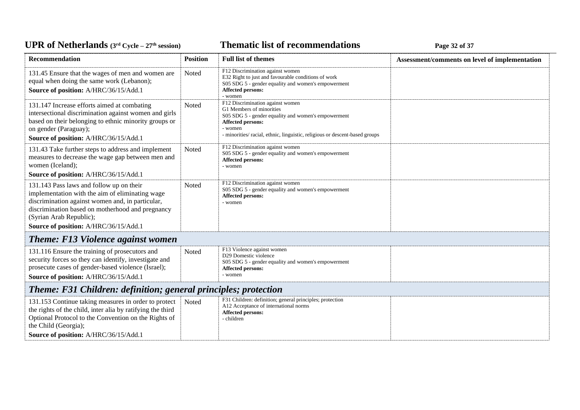### *C***ELE <b>EXECUTE: CYCLE 27E** *CHE* **EXECUTE: Page 32** of 37

| <b>Recommendation</b>                                                                                                                                                                                                                                                   | <b>Position</b> | <b>Full list of themes</b>                                                                                                                                                                                                         | Assessment/comments on level of implementation |  |
|-------------------------------------------------------------------------------------------------------------------------------------------------------------------------------------------------------------------------------------------------------------------------|-----------------|------------------------------------------------------------------------------------------------------------------------------------------------------------------------------------------------------------------------------------|------------------------------------------------|--|
| 131.45 Ensure that the wages of men and women are<br>equal when doing the same work (Lebanon);<br>Source of position: A/HRC/36/15/Add.1                                                                                                                                 | Noted           | F12 Discrimination against women<br>E32 Right to just and favourable conditions of work<br>S05 SDG 5 - gender equality and women's empowerment<br>Affected persons:<br>- women                                                     |                                                |  |
| 131.147 Increase efforts aimed at combating<br>intersectional discrimination against women and girls<br>based on their belonging to ethnic minority groups or<br>on gender (Paraguay);<br>Source of position: A/HRC/36/15/Add.1                                         | Noted           | F12 Discrimination against women<br>G1 Members of minorities<br>S05 SDG 5 - gender equality and women's empowerment<br>Affected persons:<br>- women<br>- minorities/ racial, ethnic, linguistic, religious or descent-based groups |                                                |  |
| 131.43 Take further steps to address and implement<br>measures to decrease the wage gap between men and<br>women (Iceland);<br>Source of position: A/HRC/36/15/Add.1                                                                                                    | Noted           | F12 Discrimination against women<br>S05 SDG 5 - gender equality and women's empowerment<br>Affected persons:<br>- women                                                                                                            |                                                |  |
| 131.143 Pass laws and follow up on their<br>implementation with the aim of eliminating wage<br>discrimination against women and, in particular,<br>discrimination based on motherhood and pregnancy<br>(Syrian Arab Republic);<br>Source of position: A/HRC/36/15/Add.1 | <b>Noted</b>    | F12 Discrimination against women<br>S05 SDG 5 - gender equality and women's empowerment<br><b>Affected persons:</b><br>- women                                                                                                     |                                                |  |
| <b>Theme: F13 Violence against women</b>                                                                                                                                                                                                                                |                 |                                                                                                                                                                                                                                    |                                                |  |
| 131.116 Ensure the training of prosecutors and<br>security forces so they can identify, investigate and<br>prosecute cases of gender-based violence (Israel);<br>Source of position: A/HRC/36/15/Add.1                                                                  | Noted           | F13 Violence against women<br>D29 Domestic violence<br>S05 SDG 5 - gender equality and women's empowerment<br><b>Affected persons:</b><br>- women                                                                                  |                                                |  |
| <b>Theme: F31 Children: definition; general principles; protection</b>                                                                                                                                                                                                  |                 |                                                                                                                                                                                                                                    |                                                |  |
| 131.153 Continue taking measures in order to protect<br>the rights of the child, inter alia by ratifying the third<br>Optional Protocol to the Convention on the Rights of<br>the Child (Georgia);                                                                      | Noted           | F31 Children: definition; general principles; protection<br>A12 Acceptance of international norms<br>Affected persons:<br>- children                                                                                               |                                                |  |
| Source of position: A/HRC/36/15/Add.1                                                                                                                                                                                                                                   |                 |                                                                                                                                                                                                                                    |                                                |  |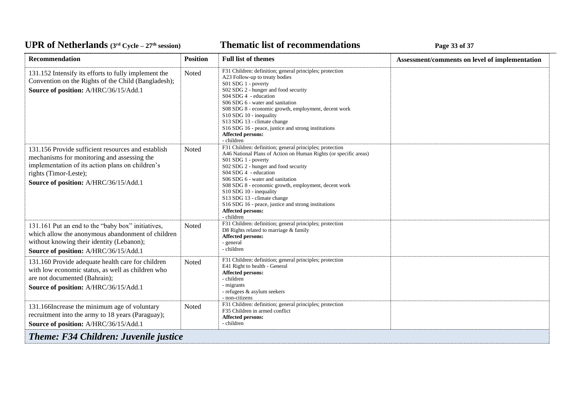### *C***ELE <b>EXECUTE: CYCLE 23 Page 33** of 37

| <b>Recommendation</b>                                                                                                                                                                                                   | <b>Position</b>                              | <b>Full list of themes</b>                                                                                                                                                                                                                                                                                                                                                                                                                                           | Assessment/comments on level of implementation |  |  |
|-------------------------------------------------------------------------------------------------------------------------------------------------------------------------------------------------------------------------|----------------------------------------------|----------------------------------------------------------------------------------------------------------------------------------------------------------------------------------------------------------------------------------------------------------------------------------------------------------------------------------------------------------------------------------------------------------------------------------------------------------------------|------------------------------------------------|--|--|
| 131.152 Intensify its efforts to fully implement the<br>Convention on the Rights of the Child (Bangladesh);<br>Source of position: A/HRC/36/15/Add.1                                                                    | Noted                                        | F31 Children: definition; general principles; protection<br>A23 Follow-up to treaty bodies<br>S01 SDG 1 - poverty<br>S02 SDG 2 - hunger and food security<br>S04 SDG 4 - education<br>S06 SDG 6 - water and sanitation<br>S08 SDG 8 - economic growth, employment, decent work<br>S10 SDG 10 - inequality<br>S13 SDG 13 - climate change<br>S16 SDG 16 - peace, justice and strong institutions<br>Affected persons:<br>- children                                   |                                                |  |  |
| 131.156 Provide sufficient resources and establish<br>mechanisms for monitoring and assessing the<br>implementation of its action plans on children's<br>rights (Timor-Leste);<br>Source of position: A/HRC/36/15/Add.1 | Noted                                        | F31 Children: definition; general principles; protection<br>A46 National Plans of Action on Human Rights (or specific areas)<br>S01 SDG 1 - poverty<br>S02 SDG 2 - hunger and food security<br>S04 SDG 4 - education<br>S06 SDG 6 - water and sanitation<br>S08 SDG 8 - economic growth, employment, decent work<br>S10 SDG 10 - inequality<br>S13 SDG 13 - climate change<br>S16 SDG 16 - peace, justice and strong institutions<br>Affected persons:<br>- children |                                                |  |  |
| 131.161 Put an end to the "baby box" initiatives,<br>which allow the anonymous abandonment of children<br>without knowing their identity (Lebanon);<br>Source of position: A/HRC/36/15/Add.1                            | Noted                                        | F31 Children: definition; general principles; protection<br>D8 Rights related to marriage & family<br><b>Affected persons:</b><br>- general<br>- children                                                                                                                                                                                                                                                                                                            |                                                |  |  |
| 131.160 Provide adequate health care for children<br>with low economic status, as well as children who<br>are not documented (Bahrain);<br>Source of position: A/HRC/36/15/Add.1                                        | Noted                                        | F31 Children: definition; general principles; protection<br>E41 Right to health - General<br><b>Affected persons:</b><br>- children<br>- migrants<br>- refugees & asylum seekers<br>- non-citizens                                                                                                                                                                                                                                                                   |                                                |  |  |
| 131.166Increase the minimum age of voluntary<br>recruitment into the army to 18 years (Paraguay);<br>Source of position: A/HRC/36/15/Add.1                                                                              | Noted                                        | F31 Children: definition; general principles; protection<br>F35 Children in armed conflict<br>Affected persons:<br>- children                                                                                                                                                                                                                                                                                                                                        |                                                |  |  |
|                                                                                                                                                                                                                         | <b>Theme: F34 Children: Juvenile justice</b> |                                                                                                                                                                                                                                                                                                                                                                                                                                                                      |                                                |  |  |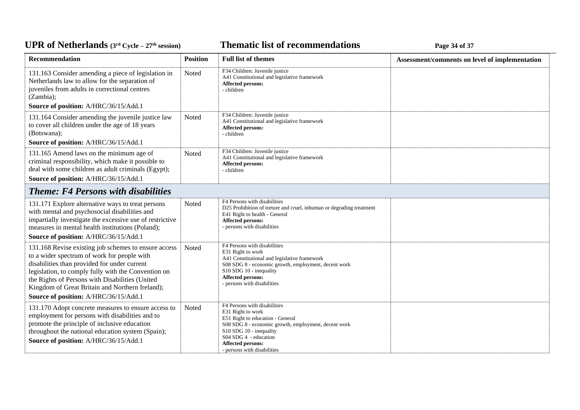### *C***ELE <b>EXECUTE: CYCLE 27 EXECUTE: Page 34** of 37

| Recommendation                                                                                                                                                                                                                                                                                                                                                                                     | <b>Position</b> | <b>Full list of themes</b>                                                                                                                                                                                                                            | Assessment/comments on level of implementation |
|----------------------------------------------------------------------------------------------------------------------------------------------------------------------------------------------------------------------------------------------------------------------------------------------------------------------------------------------------------------------------------------------------|-----------------|-------------------------------------------------------------------------------------------------------------------------------------------------------------------------------------------------------------------------------------------------------|------------------------------------------------|
| 131.163 Consider amending a piece of legislation in<br>Netherlands law to allow for the separation of<br>juveniles from adults in correctional centres<br>(Zambia);                                                                                                                                                                                                                                | Noted           | F34 Children: Juvenile justice<br>A41 Constitutional and legislative framework<br>Affected persons:<br>- children                                                                                                                                     |                                                |
| Source of position: A/HRC/36/15/Add.1                                                                                                                                                                                                                                                                                                                                                              |                 |                                                                                                                                                                                                                                                       |                                                |
| 131.164 Consider amending the juvenile justice law<br>to cover all children under the age of 18 years<br>(Botswana);<br>Source of position: A/HRC/36/15/Add.1                                                                                                                                                                                                                                      | Noted           | F34 Children: Juvenile justice<br>A41 Constitutional and legislative framework<br><b>Affected persons:</b><br>- children                                                                                                                              |                                                |
| 131.165 Amend laws on the minimum age of<br>criminal responsibility, which make it possible to<br>deal with some children as adult criminals (Egypt);<br>Source of position: A/HRC/36/15/Add.1                                                                                                                                                                                                     | Noted           | F34 Children: Juvenile justice<br>A41 Constitutional and legislative framework<br><b>Affected persons:</b><br>- children                                                                                                                              |                                                |
| <b>Theme: F4 Persons with disabilities</b>                                                                                                                                                                                                                                                                                                                                                         |                 |                                                                                                                                                                                                                                                       |                                                |
| 131.171 Explore alternative ways to treat persons<br>with mental and psychosocial disabilities and<br>impartially investigate the excessive use of restrictive<br>measures in mental health institutions (Poland);                                                                                                                                                                                 | Noted           | F4 Persons with disabilities<br>D25 Prohibition of torture and cruel, inhuman or degrading treatment<br>E41 Right to health - General<br>Affected persons:<br>- persons with disabilities                                                             |                                                |
| Source of position: A/HRC/36/15/Add.1<br>131.168 Revise existing job schemes to ensure access<br>to a wider spectrum of work for people with<br>disabilities than provided for under current<br>legislation, to comply fully with the Convention on<br>the Rights of Persons with Disabilities (United<br>Kingdom of Great Britain and Northern Ireland);<br>Source of position: A/HRC/36/15/Add.1 | Noted           | F4 Persons with disabilities<br>E31 Right to work<br>A41 Constitutional and legislative framework<br>S08 SDG 8 - economic growth, employment, decent work<br>S10 SDG 10 - inequality<br>Affected persons:<br>- persons with disabilities              |                                                |
| 131.170 Adopt concrete measures to ensure access to<br>employment for persons with disabilities and to<br>promote the principle of inclusive education<br>throughout the national education system (Spain);<br>Source of position: A/HRC/36/15/Add.1                                                                                                                                               | Noted           | F4 Persons with disabilities<br>E31 Right to work<br>E51 Right to education - General<br>S08 SDG 8 - economic growth, employment, decent work<br>S10 SDG 10 - inequality<br>S04 SDG 4 - education<br>Affected persons:<br>- persons with disabilities |                                                |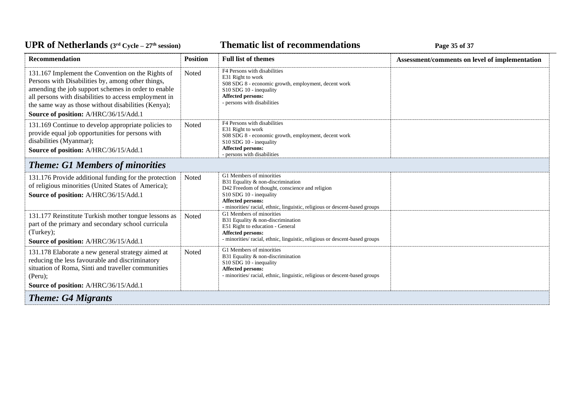*C***ELE <b>EXECUTE: CYCLE 27E** *Cycle attendations <b>Page 35 of 37* 

| <b>Recommendation</b>                                                                                                                                                                                                                                                                                                  | <b>Position</b> | <b>Full list of themes</b>                                                                                                                                                                                                                      | Assessment/comments on level of implementation |
|------------------------------------------------------------------------------------------------------------------------------------------------------------------------------------------------------------------------------------------------------------------------------------------------------------------------|-----------------|-------------------------------------------------------------------------------------------------------------------------------------------------------------------------------------------------------------------------------------------------|------------------------------------------------|
| 131.167 Implement the Convention on the Rights of<br>Persons with Disabilities by, among other things,<br>amending the job support schemes in order to enable<br>all persons with disabilities to access employment in<br>the same way as those without disabilities (Kenya);<br>Source of position: A/HRC/36/15/Add.1 | Noted           | F4 Persons with disabilities<br>E31 Right to work<br>S08 SDG 8 - economic growth, employment, decent work<br>S10 SDG 10 - inequality<br><b>Affected persons:</b><br>- persons with disabilities                                                 |                                                |
| 131.169 Continue to develop appropriate policies to<br>provide equal job opportunities for persons with<br>disabilities (Myanmar);<br>Source of position: A/HRC/36/15/Add.1                                                                                                                                            | Noted           | F4 Persons with disabilities<br>E31 Right to work<br>S08 SDG 8 - economic growth, employment, decent work<br>S10 SDG 10 - inequality<br><b>Affected persons:</b><br>- persons with disabilities                                                 |                                                |
| <b>Theme: G1 Members of minorities</b>                                                                                                                                                                                                                                                                                 |                 |                                                                                                                                                                                                                                                 |                                                |
| 131.176 Provide additional funding for the protection<br>of religious minorities (United States of America);<br>Source of position: A/HRC/36/15/Add.1                                                                                                                                                                  | Noted           | G1 Members of minorities<br>B31 Equality & non-discrimination<br>D42 Freedom of thought, conscience and religion<br>S10 SDG 10 - inequality<br>Affected persons:<br>- minorities/ racial, ethnic, linguistic, religious or descent-based groups |                                                |
| 131.177 Reinstitute Turkish mother tongue lessons as<br>part of the primary and secondary school curricula<br>(Turkey);<br>Source of position: A/HRC/36/15/Add.1                                                                                                                                                       | Noted           | G1 Members of minorities<br>B31 Equality & non-discrimination<br>E51 Right to education - General<br>Affected persons:<br>- minorities/ racial, ethnic, linguistic, religious or descent-based groups                                           |                                                |
| 131.178 Elaborate a new general strategy aimed at<br>reducing the less favourable and discriminatory<br>situation of Roma, Sinti and traveller communities<br>$(Peru)$ :<br>Source of position: A/HRC/36/15/Add.1                                                                                                      | Noted           | G1 Members of minorities<br>B31 Equality & non-discrimination<br>S10 SDG 10 - inequality<br>Affected persons:<br>- minorities/ racial, ethnic, linguistic, religious or descent-based groups                                                    |                                                |
| <b>Theme: G4 Migrants</b>                                                                                                                                                                                                                                                                                              |                 |                                                                                                                                                                                                                                                 |                                                |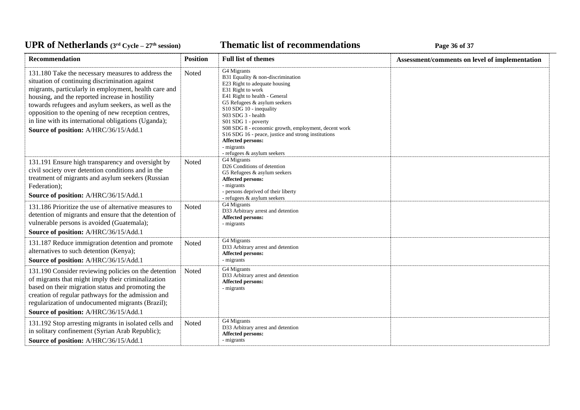### **Thematic list of recommendations Page 36** of 37

| Recommendation                                                                                                                                                                                                                                                                                                                                                                                                                  | <b>Position</b> | <b>Full list of themes</b>                                                                                                                                                                                                                                                                                                                                                                                                           | Assessment/comments on level of implementation |
|---------------------------------------------------------------------------------------------------------------------------------------------------------------------------------------------------------------------------------------------------------------------------------------------------------------------------------------------------------------------------------------------------------------------------------|-----------------|--------------------------------------------------------------------------------------------------------------------------------------------------------------------------------------------------------------------------------------------------------------------------------------------------------------------------------------------------------------------------------------------------------------------------------------|------------------------------------------------|
| 131.180 Take the necessary measures to address the<br>situation of continuing discrimination against<br>migrants, particularly in employment, health care and<br>housing, and the reported increase in hostility<br>towards refugees and asylum seekers, as well as the<br>opposition to the opening of new reception centres,<br>in line with its international obligations (Uganda);<br>Source of position: A/HRC/36/15/Add.1 | Noted           | G4 Migrants<br>B31 Equality & non-discrimination<br>E23 Right to adequate housing<br>E31 Right to work<br>E41 Right to health - General<br>G5 Refugees & asylum seekers<br>S10 SDG 10 - inequality<br>$S03$ SDG $3$ - health<br>S01 SDG 1 - poverty<br>S08 SDG 8 - economic growth, employment, decent work<br>S16 SDG 16 - peace, justice and strong institutions<br>Affected persons:<br>- migrants<br>- refugees & asylum seekers |                                                |
| 131.191 Ensure high transparency and oversight by<br>civil society over detention conditions and in the<br>treatment of migrants and asylum seekers (Russian<br>Federation);<br>Source of position: A/HRC/36/15/Add.1                                                                                                                                                                                                           | Noted           | G4 Migrants<br>D26 Conditions of detention<br>G5 Refugees & asylum seekers<br>Affected persons:<br>- migrants<br>- persons deprived of their liberty<br>- refugees $\&$ asylum seekers                                                                                                                                                                                                                                               |                                                |
| 131.186 Prioritize the use of alternative measures to<br>detention of migrants and ensure that the detention of<br>vulnerable persons is avoided (Guatemala);<br>Source of position: A/HRC/36/15/Add.1                                                                                                                                                                                                                          | Noted           | G4 Migrants<br>D33 Arbitrary arrest and detention<br>Affected persons:<br>- migrants                                                                                                                                                                                                                                                                                                                                                 |                                                |
| 131.187 Reduce immigration detention and promote<br>alternatives to such detention (Kenya);<br>Source of position: A/HRC/36/15/Add.1                                                                                                                                                                                                                                                                                            | Noted           | G4 Migrants<br>D33 Arbitrary arrest and detention<br>Affected persons:<br>- migrants                                                                                                                                                                                                                                                                                                                                                 |                                                |
| 131.190 Consider reviewing policies on the detention<br>of migrants that might imply their criminalization<br>based on their migration status and promoting the<br>creation of regular pathways for the admission and<br>regularization of undocumented migrants (Brazil);<br>Source of position: A/HRC/36/15/Add.1                                                                                                             | Noted           | G4 Migrants<br>D33 Arbitrary arrest and detention<br><b>Affected persons:</b><br>- migrants                                                                                                                                                                                                                                                                                                                                          |                                                |
| 131.192 Stop arresting migrants in isolated cells and<br>in solitary confinement (Syrian Arab Republic);<br>Source of position: A/HRC/36/15/Add.1                                                                                                                                                                                                                                                                               | Noted           | G4 Migrants<br>D33 Arbitrary arrest and detention<br>Affected persons:<br>- migrants                                                                                                                                                                                                                                                                                                                                                 |                                                |